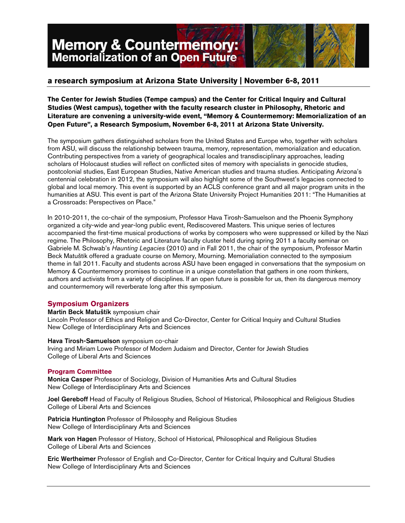**Memory & Countermemory:**<br>Memorialization of an Open Future

# **a research symposium at Arizona State University | November 6-8, 2011**

**The Center for Jewish Studies (Tempe campus) and the Center for Critical Inquiry and Cultural Studies (West campus), together with the faculty research cluster in Philosophy, Rhetoric and Literature are convening a university-wide event, "Memory & Countermemory: Memorialization of an Open Future", a Research Symposium, November 6-8, 2011 at Arizona State University.** 

The symposium gathers distinguished scholars from the United States and Europe who, together with scholars from ASU, will discuss the relationship between trauma, memory, representation, memorialization and education. Contributing perspectives from a variety of geographical locales and transdisciplinary approaches, leading scholars of Holocaust studies will reflect on conflicted sites of memory with specialists in genocide studies, postcolonial studies, East European Studies, Native American studies and trauma studies. Anticipating Arizona's centennial celebration in 2012, the symposium will also highlight some of the Southwest's legacies connected to global and local memory. This event is supported by an ACLS conference grant and all major program units in the humanities at ASU. This event is part of the Arizona State University Project Humanities 2011: "The Humanities at a Crossroads: Perspectives on Place."

In 2010-2011, the co-chair of the symposium, Professor Hava Tirosh-Samuelson and the Phoenix Symphony organized a city-wide and year-long public event, Rediscovered Masters. This unique series of lectures accompanied the first-time musical productions of works by composers who were suppressed or killed by the Nazi regime. The Philosophy, Rhetoric and Literature faculty cluster held during spring 2011 a faculty seminar on Gabriele M. Schwab's Haunting Legacies (2010) and in Fall 2011, the chair of the symposium, Professor Martin Beck Matuštík offered a graduate course on Memory, Mourning. Memorialiation connected to the symposium theme in fall 2011. Faculty and students across ASU have been engaged in conversations that the symposium on Memory & Countermemory promises to continue in a unique constellation that gathers in one room thinkers, authors and activists from a variety of disciplines. If an open future is possible for us, then its dangerous memory and countermemory will reverberate long after this symposium.

### **Symposium Organizers**

**Martin Beck Matuštík** symposium chair Lincoln Professor of Ethics and Religion and Co-Director, Center for Critical Inquiry and Cultural Studies New College of Interdisciplinary Arts and Sciences

#### **Hava Tirosh-Samuelson** symposium co-chair

Irving and Miriam Lowe Professor of Modern Judaism and Director, Center for Jewish Studies College of Liberal Arts and Sciences

#### **Program Committee**

**Monica Casper** Professor of Sociology, Division of Humanities Arts and Cultural Studies New College of Interdisciplinary Arts and Sciences

**Joel Gereboff** Head of Faculty of Religious Studies, School of Historical, Philosophical and Religious Studies College of Liberal Arts and Sciences

**Patricia Huntington** Professor of Philosophy and Religious Studies New College of Interdisciplinary Arts and Sciences

**Mark von Hagen** Professor of History, School of Historical, Philosophical and Religious Studies College of Liberal Arts and Sciences

**Eric Wertheimer** Professor of English and Co-Director, Center for Critical Inquiry and Cultural Studies New College of Interdisciplinary Arts and Sciences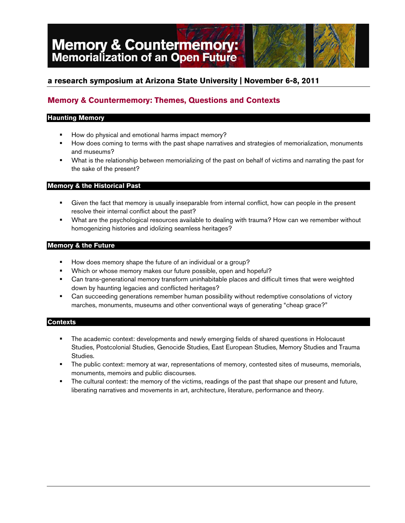**Memory & Countermemory:**<br>Memorialization of an Open Future



# **a research symposium at Arizona State University | November 6-8, 2011**

# **Memory & Countermemory: Themes, Questions and Contexts**

### **Haunting Memory**

- How do physical and emotional harms impact memory?
- How does coming to terms with the past shape narratives and strategies of memorialization, monuments and museums?
- What is the relationship between memorializing of the past on behalf of victims and narrating the past for the sake of the present?

# **Memory & the Historical Past**

- Given the fact that memory is usually inseparable from internal conflict, how can people in the present resolve their internal conflict about the past?
- What are the psychological resources available to dealing with trauma? How can we remember without homogenizing histories and idolizing seamless heritages?

### **Memory & the Future**

- How does memory shape the future of an individual or a group?
- **Which or whose memory makes our future possible, open and hopeful?**
- **EXEC** Can trans-generational memory transform uninhabitable places and difficult times that were weighted down by haunting legacies and conflicted heritages?
- **EXEC** Can succeeding generations remember human possibility without redemptive consolations of victory marches, monuments, museums and other conventional ways of generating "cheap grace?"

### **Contexts**

- **The academic context: developments and newly emerging fields of shared questions in Holocaust** Studies, Postcolonial Studies, Genocide Studies, East European Studies, Memory Studies and Trauma Studies.
- The public context: memory at war, representations of memory, contested sites of museums, memorials, monuments, memoirs and public discourses.
- The cultural context: the memory of the victims, readings of the past that shape our present and future, liberating narratives and movements in art, architecture, literature, performance and theory.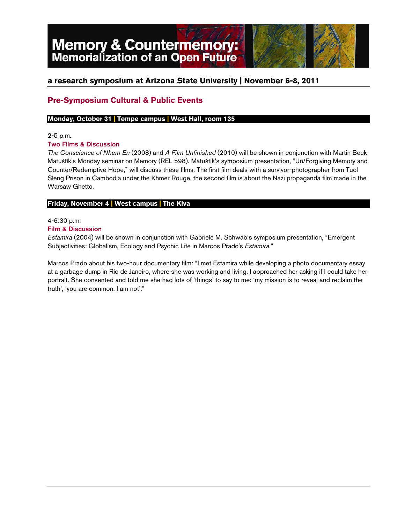

# **Pre-Symposium Cultural & Public Events**

### **Monday, October 31 | Tempe campus | West Hall, room 135**

### 2-5 p.m.

# **Two Films & Discussion**

The Conscience of Nhem En (2008) and A Film Unfinished (2010) will be shown in conjunction with Martin Beck Matuštík's Monday seminar on Memory (REL 598). Matuštík's symposium presentation, "Un/Forgiving Memory and Counter/Redemptive Hope," will discuss these films. The first film deals with a survivor-photographer from Tuol Sleng Prison in Cambodia under the Khmer Rouge, the second film is about the Nazi propaganda film made in the Warsaw Ghetto.

# **Friday, November 4 | West campus | The Kiva**

### 4-6:30 p.m.

### **Film & Discussion**

Estamira (2004) will be shown in conjunction with Gabriele M. Schwab's symposium presentation, "Emergent Subjectivities: Globalism, Ecology and Psychic Life in Marcos Prado's Estamira."

Marcos Prado about his two-hour documentary film: "I met Estamira while developing a photo documentary essay at a garbage dump in Rio de Janeiro, where she was working and living. I approached her asking if I could take her portrait. She consented and told me she had lots of 'things' to say to me: 'my mission is to reveal and reclaim the truth', 'you are common, I am not'."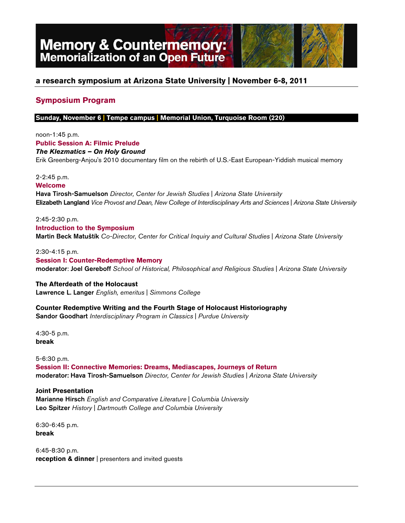

# **Symposium Program**

**Sunday, November 6 | Tempe campus | Memorial Union, Turquoise Room (220)** 

noon-1:45 p.m. **Public Session A: Filmic Prelude**  *The Klezmatics – On Holy Ground*  Erik Greenberg-Anjou's 2010 documentary film on the rebirth of U.S.-East European-Yiddish musical memory

2-2:45 p.m.

#### **Welcome**

**Hava Tirosh-Samuelson** Director, Center for Jewish Studies | Arizona State University **Elizabeth Langland** Vice Provost and Dean, New College of Interdisciplinary Arts and Sciences | Arizona State University

#### 2:45-2:30 p.m.

**Introduction to the Symposium Martin Beck Matuštík** Co-Director, Center for Critical Inquiry and Cultural Studies | Arizona State University

#### 2:30-4:15 p.m.

**Session I: Counter-Redemptive Memory moderator**: **Joel Gereboff** School of Historical, Philosophical and Religious Studies | Arizona State University

**The Afterdeath of the Holocaust Lawrence L. Langer** English, emeritus | Simmons College

**Counter Redemptive Writing and the Fourth Stage of Holocaust Historiography Sandor Goodhart** Interdisciplinary Program in Classics | Purdue University

4:30-5 p.m. **break** 

5-6:30 p.m. **Session II: Connective Memories: Dreams, Mediascapes, Journeys of Return moderator: Hava Tirosh-Samuelson** Director, Center for Jewish Studies | Arizona State University

### **Joint Presentation**

**Marianne Hirsch** English and Comparative Literature | Columbia University **Leo Spitzer** History | Dartmouth College and Columbia University

6:30-6:45 p.m. **break**

6:45-8:30 p.m. **reception & dinner** | presenters and invited guests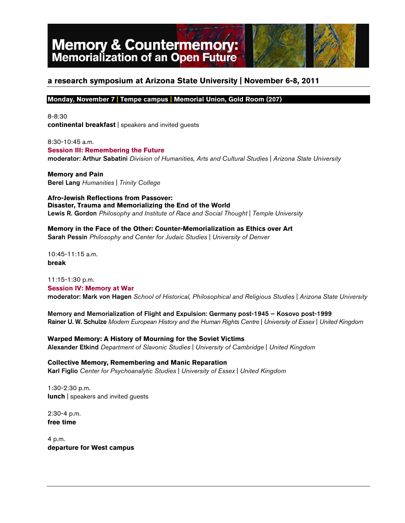

**Monday, November 7 | Tempe campus | Memorial Union, Gold Room (207)** 

8-8:30 **continental breakfast** | speakers and invited guests

8:30-10:45 a.m. **Session III: Remembering the Future moderator: Arthur Sabatini** Division of Humanities, Arts and Cultural Studies | Arizona State University

**Memory and Pain Berel Lang** Humanities | Trinity College

**Afro-Jewish Reflections from Passover: Disaster, Trauma and Memorializing the End of the World Lewis R. Gordon** Philosophy and Institute of Race and Social Thought | Temple University

**Memory in the Face of the Other: Counter-Memorialization as Ethics over Art Sarah Pessin** Philosophy and Center for Judaic Studies | University of Denver

10:45-11:15 a.m. **break** 

11:15-1:30 p.m. **Session IV: Memory at War moderator: Mark von Hagen** School of Historical, Philosophical and Religious Studies | Arizona State University

**Memory and Memorialization of Flight and Expulsion: Germany post-1945 – Kosovo post-1999 Rainer U. W. Schulze** Modern European History and the Human Rights Centre | University of Essex | United Kingdom

**Warped Memory: A History of Mourning for the Soviet Victims Alexander Etkind** Department of Slavonic Studies | University of Cambridge | United Kingdom

**Collective Memory, Remembering and Manic Reparation Karl Figlio** Center for Psychoanalytic Studies | University of Essex | United Kingdom

1:30-2:30 p.m. **lunch** | speakers and invited guests

2:30-4 p.m. **free time** 

4 p.m. **departure for West campus**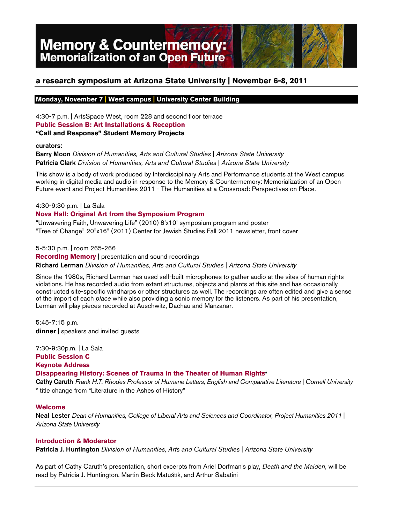**Memory & Countermemory: Memorialization of an Open Future** 



# **a research symposium at Arizona State University | November 6-8, 2011**

#### **Monday, November 7 | West campus | University Center Building**

4:30-7 p.m. | ArtsSpace West, room 228 and second floor terrace **Public Session B: Art Installations & Reception "Call and Response" Student Memory Projects** 

#### **curators:**

**Barry Moon** Division of Humanities, Arts and Cultural Studies | Arizona State University **Patricia Clark** Division of Humanities, Arts and Cultural Studies | Arizona State University

This show is a body of work produced by Interdisciplinary Arts and Performance students at the West campus working in digital media and audio in response to the Memory & Countermemory: Memorialization of an Open Future event and Project Humanities 2011 - The Humanities at a Crossroad: Perspectives on Place.

4:30-9:30 p.m. | La Sala

#### **Nova Hall: Original Art from the Symposium Program**

"Unwavering Faith, Unwavering Life" (2010) 8'x10' symposium program and poster "Tree of Change" 20"x16" (2011) Center for Jewish Studies Fall 2011 newsletter, front cover

5-5:30 p.m. | room 265-266

**Recording Memory** | presentation and sound recordings **Richard Lerman** Division of Humanities, Arts and Cultural Studies | Arizona State University

Since the 1980s, Richard Lerman has used self-built microphones to gather audio at the sites of human rights violations. He has recorded audio from extant structures, objects and plants at this site and has occasionally constructed site-specific windharps or other structures as well. The recordings are often edited and give a sense of the import of each *place* while also providing a sonic memory for the listeners. As part of his presentation, Lerman will play pieces recorded at Auschwitz, Dachau and Manzanar.

5:45-7:15 p.m. **dinner** | speakers and invited guests

7:30-9:30p.m. | La Sala **Public Session C Keynote Address Disappearing History: Scenes of Trauma in the Theater of Human Rights**\* **Cathy Caruth** Frank H.T. Rhodes Professor of Humane Letters, English and Comparative Literature | Cornell University \* title change from "Literature in the Ashes of History"

#### **Welcome**

**Neal Lester** Dean of Humanities, College of Liberal Arts and Sciences and Coordinator, Project Humanities 2011 | Arizona State University

#### **Introduction & Moderator**

**Patricia J. Huntington** Division of Humanities, Arts and Cultural Studies | Arizona State University

As part of Cathy Caruth's presentation, short excerpts from Ariel Dorfman's play, Death and the Maiden, will be read by Patricia J. Huntington, Martin Beck Matuštík, and Arthur Sabatini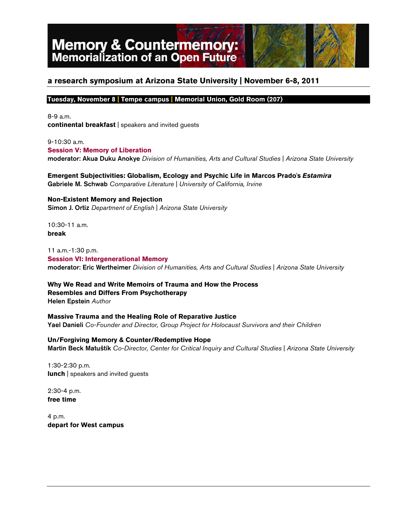

#### **Tuesday, November 8 | Tempe campus | Memorial Union, Gold Room (207)**

8-9 a.m. **continental breakfast** | speakers and invited guests

9-10:30 a.m. **Session V: Memory of Liberation moderator: Akua Duku Anokye** Division of Humanities, Arts and Cultural Studies | Arizona State University

**Emergent Subjectivities: Globalism, Ecology and Psychic Life in Marcos Prado's Estamira Gabriele M. Schwab** Comparative Literature | University of California, Irvine

**Non-Existent Memory and Rejection Simon J. Ortiz** Department of English | Arizona State University

10:30-11 a.m. **break** 

11 a.m.-1:30 p.m.

**Session VI: Intergenerational Memory moderator: Eric Wertheimer** Division of Humanities, Arts and Cultural Studies | Arizona State University

**Why We Read and Write Memoirs of Trauma and How the Process Resembles and Differs From Psychotherapy Helen Epstein** Author

**Massive Trauma and the Healing Role of Reparative Justice Yael Danieli** Co-Founder and Director, Group Project for Holocaust Survivors and their Children

**Un/Forgiving Memory & Counter/Redemptive Hope Martin Beck Matuštík** Co-Director, Center for Critical Inquiry and Cultural Studies | Arizona State University

1:30-2:30 p.m. **lunch** | speakers and invited guests

2:30-4 p.m. **free time** 

4 p.m. **depart for West campus**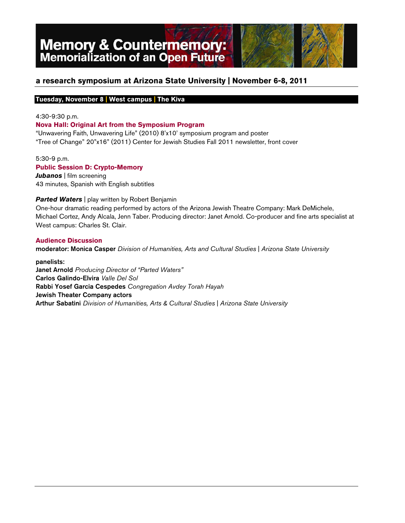

### **Tuesday, November 8 | West campus | The Kiva**

#### 4:30-9:30 p.m.

#### **Nova Hall: Original Art from the Symposium Program**

"Unwavering Faith, Unwavering Life" (2010) 8'x10' symposium program and poster "Tree of Change" 20"x16" (2011) Center for Jewish Studies Fall 2011 newsletter, front cover

5:30-9 p.m. **Public Session D: Crypto-Memory**  *Jubanos* | film screening 43 minutes, Spanish with English subtitles

### **Parted Waters** | play written by Robert Benjamin

One-hour dramatic reading performed by actors of the Arizona Jewish Theatre Company: Mark DeMichele, Michael Cortez, Andy Alcala, Jenn Taber. Producing director: Janet Arnold. Co-producer and fine arts specialist at West campus: Charles St. Clair.

#### **Audience Discussion**

**moderator: Monica Casper** Division of Humanities, Arts and Cultural Studies | Arizona State University

**panelists: Janet Arnold** Producing Director of "Parted Waters" **Carlos Galindo-Elvira** Valle Del Sol **Rabbi Yosef Garcia Cespedes** Congregation Avdey Torah Hayah **Jewish Theater Company actors Arthur Sabatini** Division of Humanities, Arts & Cultural Studies | Arizona State University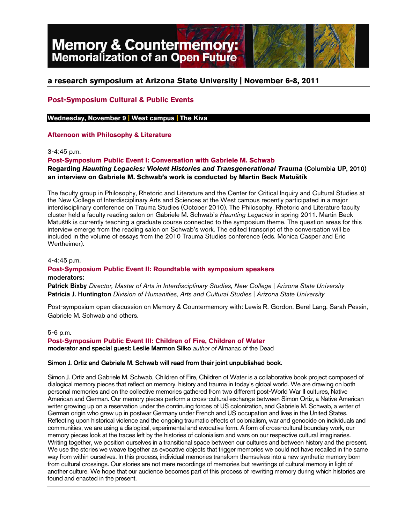**Memory & Countermemory: Memorialization of an Open Future** 



# **a research symposium at Arizona State University | November 6-8, 2011**

### **Post-Symposium Cultural & Public Events**

#### **Wednesday, November 9 | West campus | The Kiva**

#### **Afternoon with Philosophy & Literature**

#### 3-4:45 p.m.

#### **Post-Symposium Public Event I: Conversation with Gabriele M. Schwab**

#### **Regarding** *Haunting Legacies: Violent Histories and Transgenerational Trauma* **(Columbia UP, 2010) an interview on Gabriele M. Schwab's work is conducted by Martin Beck Matuštík**

The faculty group in Philosophy, Rhetoric and Literature and the Center for Critical Inquiry and Cultural Studies at the New College of Interdisciplinary Arts and Sciences at the West campus recently participated in a major interdisciplinary conference on Trauma Studies (October 2010). The Philosophy, Rhetoric and Literature faculty cluster held a faculty reading salon on Gabriele M. Schwab's Haunting Legacies in spring 2011. Martin Beck Matuštík is currently teaching a graduate course connected to the symposium theme. The question areas for this interview emerge from the reading salon on Schwab's work. The edited transcript of the conversation will be included in the volume of essays from the 2010 Trauma Studies conference (eds. Monica Casper and Eric Wertheimer).

#### 4-4:45 p.m.

#### **Post-Symposium Public Event II: Roundtable with symposium speakers**

#### **moderators:**

**Patrick Bixby** Director, Master of Arts in Interdisciplinary Studies, New College | Arizona State University **Patricia J. Huntington** Division of Humanities, Arts and Cultural Studies | Arizona State University

Post-symposium open discussion on Memory & Countermemory with: Lewis R. Gordon, Berel Lang, Sarah Pessin, Gabriele M. Schwab and others.

#### 5-6 p.m.

#### **Post-Symposium Public Event III: Children of Fire, Children of Water moderator and special guest: Leslie Marmon Silko** author of Almanac of the Dead

#### **Simon J. Ortiz and Gabriele M. Schwab will read from their joint unpublished book.**

Simon J. Ortiz and Gabriele M. Schwab, Children of Fire, Children of Water is a collaborative book project composed of dialogical memory pieces that reflect on memory, history and trauma in today's global world. We are drawing on both personal memories and on the collective memories gathered from two different post-World War II cultures, Native American and German. Our memory pieces perform a cross-cultural exchange between Simon Ortiz, a Native American writer growing up on a reservation under the continuing forces of US colonization, and Gabriele M. Schwab, a writer of German origin who grew up in postwar Germany under French and US occupation and lives in the United States. Reflecting upon historical violence and the ongoing traumatic effects of colonialism, war and genocide on individuals and communities, we are using a dialogical, experimental and evocative form. A form of cross-cultural boundary work, our memory pieces look at the traces left by the histories of colonialism and wars on our respective cultural imaginaries. Writing together, we position ourselves in a transitional space between our cultures and between history and the present. We use the stories we weave together as evocative objects that trigger memories we could not have recalled in the same way from within ourselves. In this process, individual memories transform themselves into a new synthetic memory born from cultural crossings. Our stories are not mere recordings of memories but rewritings of cultural memory in light of another culture. We hope that our audience becomes part of this process of rewriting memory during which histories are found and enacted in the present.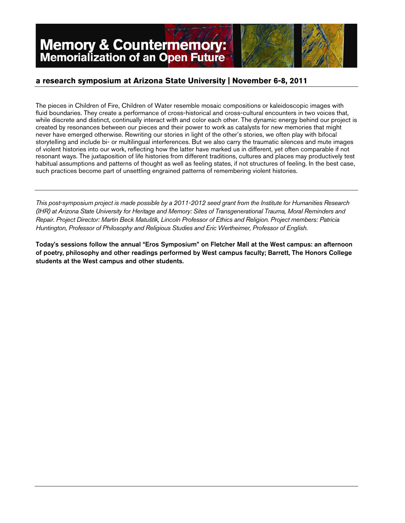

The pieces in Children of Fire, Children of Water resemble mosaic compositions or kaleidoscopic images with fluid boundaries. They create a performance of cross-historical and cross-cultural encounters in two voices that, while discrete and distinct, continually interact with and color each other. The dynamic energy behind our project is created by resonances between our pieces and their power to work as catalysts for new memories that might never have emerged otherwise. Rewriting our stories in light of the other's stories, we often play with bifocal storytelling and include bi- or multilingual interferences. But we also carry the traumatic silences and mute images of violent histories into our work, reflecting how the latter have marked us in different, yet often comparable if not resonant ways. The juxtaposition of life histories from different traditions, cultures and places may productively test habitual assumptions and patterns of thought as well as feeling states, if not structures of feeling. In the best case, such practices become part of unsettling engrained patterns of remembering violent histories.

This post-symposium project is made possible by a 2011-2012 seed grant from the Institute for Humanities Research (IHR) at Arizona State University for Heritage and Memory: Sites of Transgenerational Trauma, Moral Reminders and Repair. Project Director: Martin Beck Matuštík, Lincoln Professor of Ethics and Religion. Project members: Patricia Huntington, Professor of Philosophy and Religious Studies and Eric Wertheimer, Professor of English.

**Today's sessions follow the annual "Eros Symposium" on Fletcher Mall at the West campus: an afternoon of poetry, philosophy and other readings performed by West campus faculty; Barrett, The Honors College students at the West campus and other students.**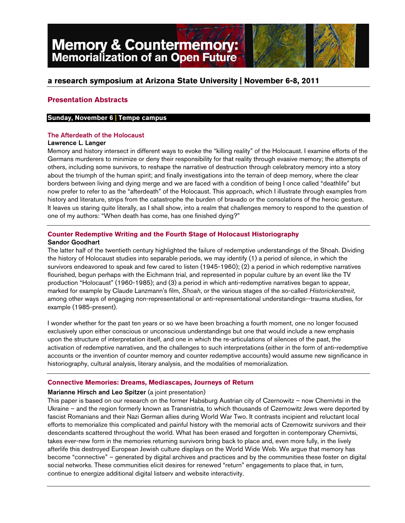

# **Presentation Abstracts**

# **Sunday, November 6 | Tempe campus**

#### **The Afterdeath of the Holocaust**

#### **Lawrence L. Langer**

Memory and history intersect in different ways to evoke the "killing reality" of the Holocaust. I examine efforts of the Germans murderers to minimize or deny their responsibility for that reality through evasive memory; the attempts of others, including some survivors, to reshape the narrative of destruction through celebratory memory into a story about the triumph of the human spirit; and finally investigations into the terrain of deep memory, where the clear borders between living and dying merge and we are faced with a condition of being I once called "deathlife" but now prefer to refer to as the "afterdeath" of the Holocaust. This approach, which I illustrate through examples from history and literature, strips from the catastrophe the burden of bravado or the consolations of the heroic gesture. It leaves us staring quite literally, as I shall show, into a realm that challenges memory to respond to the question of one of my authors: "When death has come, has one finished dying?"

# **Counter Redemptive Writing and the Fourth Stage of Holocaust Historiography**

#### **Sandor Goodhart**

The latter half of the twentieth century highlighted the failure of redemptive understandings of the Shoah. Dividing the history of Holocaust studies into separable periods, we may identify (1) a period of silence, in which the survivors endeavored to speak and few cared to listen (1945-1960); (2) a period in which redemptive narratives flourished, begun perhaps with the Eichmann trial, and represented in popular culture by an event like the TV production "Holocaust" (1960-1985); and (3) a period in which anti-redemptive narratives began to appear, marked for example by Claude Lanzmann's film, Shoah, or the various stages of the so-called Historickerstreit, among other ways of engaging non-representational or anti-representational understandings--trauma studies, for example (1985-present).

I wonder whether for the past ten years or so we have been broaching a fourth moment, one no longer focused exclusively upon either conscious or unconscious understandings but one that would include a new emphasis upon the structure of interpretation itself, and one in which the re-articulations of silences of the past, the activation of redemptive narratives, and the challenges to such interpretations (either in the form of anti-redemptive accounts or the invention of counter memory and counter redemptive accounts) would assume new significance in historiography, cultural analysis, literary analysis, and the modalities of memorialization.

#### **Connective Memories: Dreams, Mediascapes, Journeys of Return**

#### **Marianne Hirsch and Leo Spitzer** (a joint presentation)

This paper is based on our research on the former Habsburg Austrian city of Czernowitz – now Chernivtsi in the Ukraine – and the region formerly known as Transnistria, to which thousands of Czernowitz Jews were deported by fascist Romanians and their Nazi German allies during World War Two. It contrasts incipient and reluctant local efforts to memorialize this complicated and painful history with the memorial acts of Czernowitz survivors and their descendants scattered throughout the world. What has been erased and forgotten in contemporary Chernivtsi, takes ever-new form in the memories returning survivors bring back to place and, even more fully, in the lively afterlife this destroyed European Jewish culture displays on the World Wide Web. We argue that memory has become "connective" – generated by digital archives and practices and by the communities these foster on digital social networks. These communities elicit desires for renewed "return" engagements to place that, in turn, continue to energize additional digital listserv and website interactivity.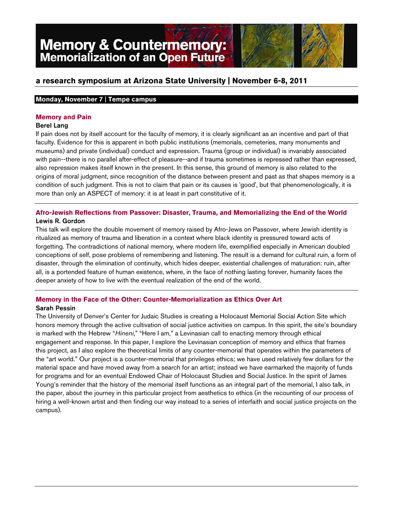

**Monday, November 7 | Tempe campus** 

#### **Memory and Pain**

#### **Berel Lang**

If pain does not by itself account for the faculty of memory, it is clearly significant as an incentive and part of that faculty. Evidence for this is apparent in both public institutions (memorials, cemeteries, many monuments and museums) and private (individual) conduct and expression. Trauma (group or individual) is invariably associated with pain--there is no parallel after-effect of pleasure--and if trauma sometimes is repressed rather than expressed, also repression makes itself known in the present. In this sense, this ground of memory is also related to the origins of moral judgment, since recognition of the distance between present and past as that shapes memory is a condition of such judgment. This is not to claim that pain or its causes is 'good', but that phenomenologically, it is more than only an ASPECT of memory: it is at least in part constitutive of it.

### **Afro-Jewish Reflections from Passover: Disaster, Trauma, and Memorializing the End of the World Lewis R. Gordon**

This talk will explore the double movement of memory raised by Afro-Jews on Passover, where Jewish identity is ritualized as memory of trauma and liberation in a context where black identity is pressured toward acts of forgetting. The contradictions of national memory, where modern life, exemplified especially in American doubled conceptions of self, pose problems of remembering and listening. The result is a demand for cultural ruin, a form of disaster, through the elimination of continuity, which hides deeper, existential challenges of maturation: ruin, after all, is a portended feature of human existence, where, in the face of nothing lasting forever, humanity faces the deeper anxiety of how to live with the eventual realization of the end of the world.

# **Memory in the Face of the Other: Counter-Memorialization as Ethics Over Art**

### **Sarah Pessin**

The University of Denver's Center for Judaic Studies is creating a Holocaust Memorial Social Action Site which honors memory through the active cultivation of social justice activities on campus. In this spirit, the site's boundary is marked with the Hebrew "Hineni," "Here I am," a Levinasian call to enacting memory through ethical engagement and response. In this paper, I explore the Levinasian conception of memory and ethics that frames this project, as I also explore the theoretical limits of any counter-memorial that operates within the parameters of the "art world." Our project is a counter-memorial that privileges ethics; we have used relatively few dollars for the material space and have moved away from a search for an artist; instead we have earmarked the majority of funds for programs and for an eventual Endowed Chair of Holocaust Studies and Social Justice. In the spirit of James Young's reminder that the history of the memorial itself functions as an integral part of the memorial, I also talk, in the paper, about the journey in this particular project from aesthetics to ethics (in the recounting of our process of hiring a well-known artist and then finding our way instead to a series of interfaith and social justice projects on the campus).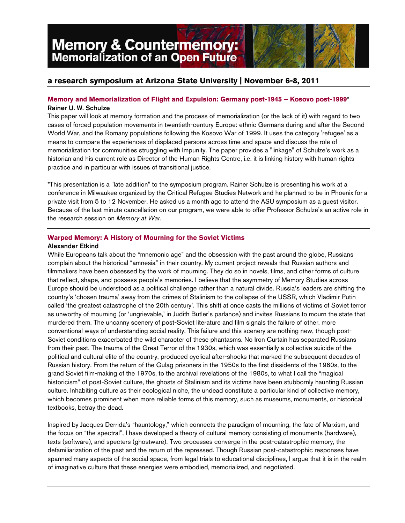

### **Memory and Memorialization of Flight and Expulsion: Germany post-1945 – Kosovo post-1999**\* **Rainer U. W. Schulze**

This paper will look at memory formation and the process of memorialization (or the lack of it) with regard to two cases of forced population movements in twentieth-century Europe: ethnic Germans during and after the Second World War, and the Romany populations following the Kosovo War of 1999. It uses the category 'refugee' as a means to compare the experiences of displaced persons across time and space and discuss the role of memorialization for communities struggling with Impunity. The paper provides a "linkage" of Schulze's work as a historian and his current role as Director of the Human Rights Centre, i.e. it is linking history with human rights practice and in particular with issues of transitional justice.

\*This presentation is a "late addition" to the symposium program. Rainer Schulze is presenting his work at a conference in Milwaukee organized by the Critical Refugee Studies Network and he planned to be in Phoenix for a private visit from 5 to 12 November. He asked us a month ago to attend the ASU symposium as a guest visitor. Because of the last minute cancellation on our program, we were able to offer Professor Schulze's an active role in the research session on Memory at War.

# **Warped Memory: A History of Mourning for the Soviet Victims**

#### **Alexander Etkind**

While Europeans talk about the "mnemonic age" and the obsession with the past around the globe, Russians complain about the historical "amnesia" in their country. My current project reveals that Russian authors and filmmakers have been obsessed by the work of mourning. They do so in novels, films, and other forms of culture that reflect, shape, and possess people's memories. I believe that the asymmetry of Memory Studies across Europe should be understood as a political challenge rather than a natural divide. Russia's leaders are shifting the country's 'chosen trauma' away from the crimes of Stalinism to the collapse of the USSR, which Vladimir Putin called 'the greatest catastrophe of the 20th century'. This shift at once casts the millions of victims of Soviet terror as unworthy of mourning (or 'ungrievable,' in Judith Butler's parlance) and invites Russians to mourn the state that murdered them. The uncanny scenery of post-Soviet literature and film signals the failure of other, more conventional ways of understanding social reality. This failure and this scenery are nothing new, though post-Soviet conditions exacerbated the wild character of these phantasms. No Iron Curtain has separated Russians from their past. The trauma of the Great Terror of the 1930s, which was essentially a collective suicide of the political and cultural elite of the country, produced cyclical after-shocks that marked the subsequent decades of Russian history. From the return of the Gulag prisoners in the 1950s to the first dissidents of the 1960s, to the grand Soviet film-making of the 1970s, to the archival revelations of the 1980s, to what I call the "magical historicism" of post-Soviet culture, the ghosts of Stalinism and its victims have been stubbornly haunting Russian culture. Inhabiting culture as their ecological niche, the undead constitute a particular kind of collective memory, which becomes prominent when more reliable forms of this memory, such as museums, monuments, or historical textbooks, betray the dead.

Inspired by Jacques Derrida's "hauntology," which connects the paradigm of mourning, the fate of Marxism, and the focus on "the spectral", I have developed a theory of cultural memory consisting of monuments (hardware), texts (software), and specters (ghostware). Two processes converge in the post-catastrophic memory, the defamiliarization of the past and the return of the repressed. Though Russian post-catastrophic responses have spanned many aspects of the social space, from legal trials to educational disciplines, I argue that it is in the realm of imaginative culture that these energies were embodied, memorialized, and negotiated.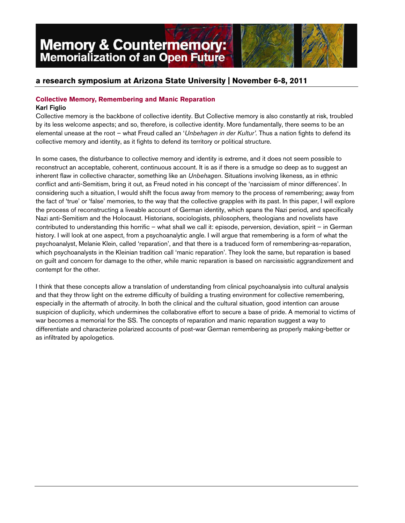

# **Collective Memory, Remembering and Manic Reparation**

#### **Karl Figlio**

Collective memory is the backbone of collective identity. But Collective memory is also constantly at risk, troubled by its less welcome aspects; and so, therefore, is collective identity. More fundamentally, there seems to be an elemental unease at the root – what Freud called an 'Unbehagen in der Kultur'. Thus a nation fights to defend its collective memory and identity, as it fights to defend its territory or political structure.

In some cases, the disturbance to collective memory and identity is extreme, and it does not seem possible to reconstruct an acceptable, coherent, continuous account. It is as if there is a smudge so deep as to suggest an inherent flaw in collective character, something like an Unbehagen. Situations involving likeness, as in ethnic conflict and anti-Semitism, bring it out, as Freud noted in his concept of the 'narcissism of minor differences'. In considering such a situation, I would shift the focus away from memory to the process of remembering; away from the fact of 'true' or 'false' memories, to the way that the collective grapples with its past. In this paper, I will explore the process of reconstructing a liveable account of German identity, which spans the Nazi period, and specifically Nazi anti-Semitism and the Holocaust. Historians, sociologists, philosophers, theologians and novelists have contributed to understanding this horrific – what shall we call it: episode, perversion, deviation, spirit – in German history. I will look at one aspect, from a psychoanalytic angle. I will argue that remembering is a form of what the psychoanalyst, Melanie Klein, called 'reparation', and that there is a traduced form of remembering-as-reparation, which psychoanalysts in the Kleinian tradition call 'manic reparation'. They look the same, but reparation is based on guilt and concern for damage to the other, while manic reparation is based on narcissistic aggrandizement and contempt for the other.

I think that these concepts allow a translation of understanding from clinical psychoanalysis into cultural analysis and that they throw light on the extreme difficulty of building a trusting environment for collective remembering, especially in the aftermath of atrocity. In both the clinical and the cultural situation, good intention can arouse suspicion of duplicity, which undermines the collaborative effort to secure a base of pride. A memorial to victims of war becomes a memorial for the SS. The concepts of reparation and manic reparation suggest a way to differentiate and characterize polarized accounts of post-war German remembering as properly making-better or as infiltrated by apologetics.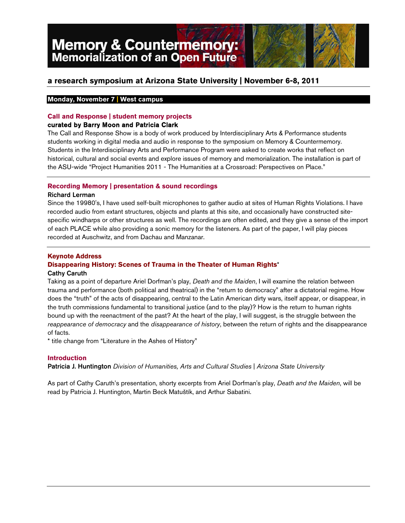

### **Monday, November 7 | West campus**

#### **Call and Response | student memory projects**

#### **curated by Barry Moon and Patricia Clark**

The Call and Response Show is a body of work produced by Interdisciplinary Arts & Performance students students working in digital media and audio in response to the symposium on Memory & Countermemory. Students in the Interdisciplinary Arts and Performance Program were asked to create works that reflect on historical, cultural and social events and explore issues of memory and memorialization. The installation is part of the ASU-wide "Project Humanities 2011 - The Humanities at a Crossroad: Perspectives on Place."

### **Recording Memory | presentation & sound recordings**

#### **Richard Lerman**

Since the 19980's, I have used self-built microphones to gather audio at sites of Human Rights Violations. I have recorded audio from extant structures, objects and plants at this site, and occasionally have constructed sitespecific windharps or other structures as well. The recordings are often edited, and they give a sense of the import of each PLACE while also providing a sonic memory for the listeners. As part of the paper, I will play pieces recorded at Auschwitz, and from Dachau and Manzanar.

### **Keynote Address Disappearing History: Scenes of Trauma in the Theater of Human Rights**\* **Cathy Caruth**

Taking as a point of departure Ariel Dorfman's play, Death and the Maiden, I will examine the relation between trauma and performance (both political and theatrical) in the "return to democracy" after a dictatorial regime. How does the "truth" of the acts of disappearing, central to the Latin American dirty wars, itself appear, or disappear, in the truth commissions fundamental to transitional justice (and to the play)? How is the return to human rights bound up with the reenactment of the past? At the heart of the play, I will suggest, is the struggle between the reappearance of democracy and the disappearance of history, between the return of rights and the disappearance of facts.

\* title change from "Literature in the Ashes of History"

#### **Introduction**

**Patricia J. Huntington** Division of Humanities, Arts and Cultural Studies | Arizona State University

As part of Cathy Caruth's presentation, shorty excerpts from Ariel Dorfman's play, Death and the Maiden, will be read by Patricia J. Huntington, Martin Beck Matuštík, and Arthur Sabatini.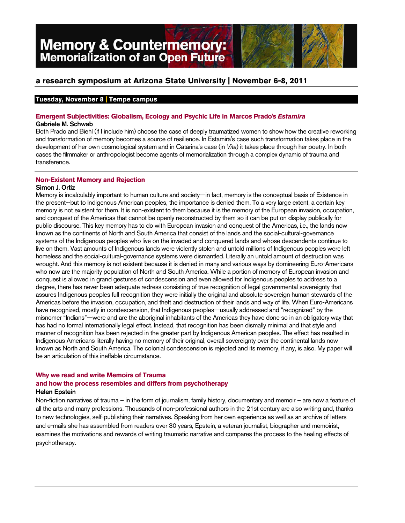

#### **Tuesday, November 8 | Tempe campus**

# **Emergent Subjectivities: Globalism, Ecology and Psychic Life in Marcos Prado's** *Estamira*

#### **Gabriele M. Schwab**

Both Prado and Biehl (if I include him) choose the case of deeply traumatized women to show how the creative reworking and transformation of memory becomes a source of resilience. In Estamira's case such transformation takes place in the development of her own cosmological system and in Catarina's case (in Vita) it takes place through her poetry. In both cases the filmmaker or anthropologist become agents of memorialization through a complex dynamic of trauma and transference.

#### **Non-Existent Memory and Rejection**

#### **Simon J. Ortiz**

Memory is incalculably important to human culture and society—in fact, memory is the conceptual basis of Existence in the present--but to Indigenous American peoples, the importance is denied them. To a very large extent, a certain key memory is not existent for them. It is non-existent to them because it is the memory of the European invasion, occupation, and conquest of the Americas that cannot be openly reconstructed by them so it can be put on display publically for public discourse. This key memory has to do with European invasion and conquest of the Americas, i.e., the lands now known as the continents of North and South America that consist of the lands and the social-cultural-governance systems of the Indigenous peoples who live on the invaded and conquered lands and whose descendents continue to live on them. Vast amounts of Indigenous lands were violently stolen and untold millions of Indigenous peoples were left homeless and the social-cultural-governance systems were dismantled. Literally an untold amount of destruction was wrought. And this memory is not existent because it is denied in many and various ways by domineering Euro-Americans who now are the majority population of North and South America. While a portion of memory of European invasion and conquest is allowed in grand gestures of condescension and even allowed for Indigenous peoples to address to a degree, there has never been adequate redress consisting of true recognition of legal governmental sovereignty that assures Indigenous peoples full recognition they were initially the original and absolute sovereign human stewards of the Americas before the invasion, occupation, and theft and destruction of their lands and way of life. When Euro-Americans have recognized, mostly in condescension, that Indigenous peoples—usually addressed and "recognized" by the misnomer "Indians"—were and are the aboriginal inhabitants of the Americas they have done so in an obligatory way that has had no formal internationally legal effect. Instead, that recognition has been dismally minimal and that style and manner of recognition has been rejected in the greater part by Indigenous American peoples. The effect has resulted in Indigenous Americans literally having no memory of their original, overall sovereignty over the continental lands now known as North and South America. The colonial condescension is rejected and its memory, if any, is also. My paper will be an articulation of this ineffable circumstance.

#### **Why we read and write Memoirs of Trauma and how the process resembles and differs from psychotherapy Helen Epstein**

Non-fiction narratives of trauma – in the form of journalism, family history, documentary and memoir – are now a feature of all the arts and many professions. Thousands of non-professional authors in the 21st century are also writing and, thanks to new technologies, self-publishing their narratives. Speaking from her own experience as well as an archive of letters and e-mails she has assembled from readers over 30 years, Epstein, a veteran journalist, biographer and memoirist, examines the motivations and rewards of writing traumatic narrative and compares the process to the healing effects of psychotherapy.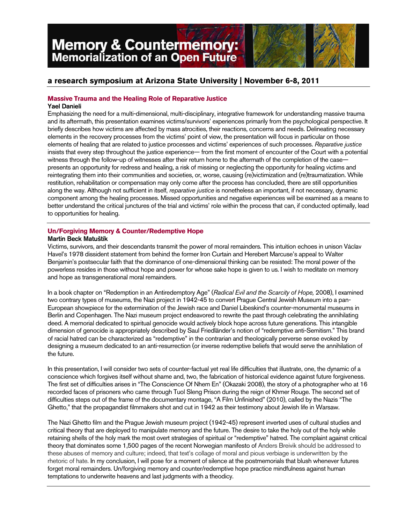

#### **Massive Trauma and the Healing Role of Reparative Justice**

#### **Yael Danieli**

Emphasizing the need for a multi-dimensional, multi-disciplinary, integrative framework for understanding massive trauma and its aftermath, this presentation examines victims/survivors' experiences primarily from the psychological perspective. It briefly describes how victims are affected by mass atrocities, their reactions, concerns and needs. Delineating necessary elements in the recovery processes from the victims' point of view, the presentation will focus in particular on those elements of healing that are related to justice processes and victims' experiences of such processes. Reparative justice insists that every step throughout the justice experience— from the first moment of encounter of the Court with a potential witness through the follow-up of witnesses after their return home to the aftermath of the completion of the case presents an opportunity for redress and healing, a risk of missing or neglecting the opportunity for healing victims and reintegrating them into their communities and societies, or, worse, causing (re)victimization and (re)traumatization. While restitution, rehabilitation or compensation may only come after the process has concluded, there are still opportunities along the way. Although not sufficient in itself, reparative justice is nonetheless an important, if not necessary, dynamic component among the healing processes. Missed opportunities and negative experiences will be examined as a means to better understand the critical junctures of the trial and victims' role within the process that can, if conducted optimally, lead to opportunities for healing.

# **Un/Forgiving Memory & Counter/Redemptive Hope**

#### **Martin Beck Matuštík**

Victims, survivors, and their descendants transmit the power of moral remainders. This intuition echoes in unison Václav Havel's 1978 dissident statement from behind the former Iron Curtain and Herebert Marcuse's appeal to Walter Benjamin's postsecular faith that the dominance of one-dimensional thinking can be resisted: The moral power of the powerless resides in those without hope and power for whose sake hope is given to us. I wish to meditate on memory and hope as transgenerational moral remainders.

In a book chapter on "Redemption in an Antiredemptory Age" (Radical Evil and the Scarcity of Hope, 2008), I examined two contrary types of museums, the Nazi project in 1942-45 to convert Prague Central Jewish Museum into a pan-European showpiece for the extermination of the Jewish race and Daniel Libeskind's counter-monumental museums in Berlin and Copenhagen. The Nazi museum project endeavored to rewrite the past through celebrating the annihilating deed. A memorial dedicated to spiritual genocide would actively block hope across future generations. This intangible dimension of genocide is appropriately described by Saul Friedländer's notion of "redemptive anti-Semitism." This brand of racial hatred can be characterized as "redemptive" in the contrarian and theologically perverse sense evoked by designing a museum dedicated to an anti-resurrection (or inverse redemptive beliefs that would serve the annihilation of the future.

In this presentation, I will consider two sets of counter-factual yet real life difficulties that illustrate, one, the dynamic of a conscience which forgives itself without shame and, two, the fabrication of historical evidence against future forgiveness. The first set of difficulties arises in "The Conscience Of Nhem En" (Okazaki 2008), the story of a photographer who at 16 recorded faces of prisoners who came through Tuol Sleng Prison during the reign of Khmer Rouge. The second set of difficulties steps out of the frame of the documentary montage, "A Film Unfinished" (2010), called by the Nazis "The Ghetto," that the propagandist filmmakers shot and cut in 1942 as their testimony about Jewish life in Warsaw.

The Nazi Ghetto film and the Prague Jewish museum project (1942-45) represent inverted uses of cultural studies and critical theory that are deployed to manipulate memory and the future. The desire to take the holy out of the holy while retaining shells of the holy mark the most overt strategies of spiritual or "redemptive" hatred. The complaint against critical theory that dominates some 1,500 pages of the recent Norwegian manifesto of Anders Breivik should be addressed to these abuses of memory and culture; indeed, that text's collage of moral and pious verbiage is underwritten by the rhetoric of hate. In my conclusion, I will pose for a moment of silence at the postmemorials that blush whenever futures forget moral remainders. Un/forgiving memory and counter/redemptive hope practice mindfulness against human temptations to underwrite heavens and last judgments with a theodicy.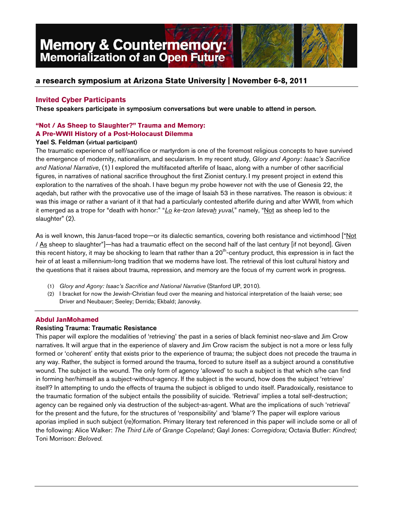

# **Invited Cyber Participants**

**These speakers participate in symposium conversations but were unable to attend in person.** 

# **"Not / As Sheep to Slaughter?" Trauma and Memory: A Pre-WWII History of a Post-Holocaust Dilemma**

#### **Yael S. Feldman (virtual participant)**

The traumatic experience of self/sacrifice or martyrdom is one of the foremost religious concepts to have survived the emergence of modernity, nationalism, and secularism. In my recent study, Glory and Agony: Isaac's Sacrifice and National Narrative, (1) I explored the multifaceted afterlife of Isaac, along with a number of other sacrificial figures, in narratives of national sacrifice throughout the first Zionist century. I my present project in extend this exploration to the narratives of the shoah. I have begun my probe however not with the use of Genesis 22, the aqedah, but rather with the provocative use of the image of Isaiah 53 in these narratives. The reason is obvious: it was this image or rather a variant of it that had a particularly contested afterlife during and after WWII, from which it emerged as a trope for "death with honor:" "Lo ke-tzon latevah yuval," namely, "Not as sheep led to the slaughter" (2).

As is well known, this Janus-faced trope—or its dialectic semantics, covering both resistance and victimhood ["Not / As sheep to slaughter"]—has had a traumatic effect on the second half of the last century [if not beyond]. Given this recent history, it may be shocking to learn that rather than a  $20<sup>th</sup>$ -century product, this expression is in fact the heir of at least a millennium-long tradition that we moderns have lost. The retrieval of this lost cultural history and the questions that it raises about trauma, repression, and memory are the focus of my current work in progress.

- (1) Glory and Agony: Isaac's Sacrifice and National Narrative (Stanford UP, 2010).
- (2) I bracket for now the Jewish-Christian feud over the meaning and historical interpretation of the Isaiah verse; see Driver and Neubauer; Seeley; Derrida; Ekbald; Janovsky.

### **Abdul JanMohamed**

### **Resisting Trauma: Traumatic Resistance**

This paper will explore the modalities of 'retrieving' the past in a series of black feminist neo-slave and Jim Crow narratives. It will argue that in the experience of slavery and Jim Crow racism the subject is not a more or less fully formed or 'coherent' entity that exists prior to the experience of trauma; the subject does not precede the trauma in any way. Rather, the subject is formed around the trauma, forced to suture itself as a subject around a constitutive wound. The subject is the wound. The only form of agency 'allowed' to such a subject is that which s/he can find in forming her/himself as a subject-without-agency. If the subject is the wound, how does the subject 'retrieve' itself? In attempting to undo the effects of trauma the subject is obliged to undo itself. Paradoxically, resistance to the traumatic formation of the subject entails the possibility of suicide. 'Retrieval' implies a total self-destruction; agency can be regained only via destruction of the subject-as-agent. What are the implications of such 'retrieval' for the present and the future, for the structures of 'responsibility' and 'blame'? The paper will explore various aporias implied in such subject (re)formation. Primary literary text referenced in this paper will include some or all of the following: Alice Walker: The Third Life of Grange Copeland; Gayl Jones: Corregidora; Octavia Butler: Kindred; Toni Morrison: Beloved.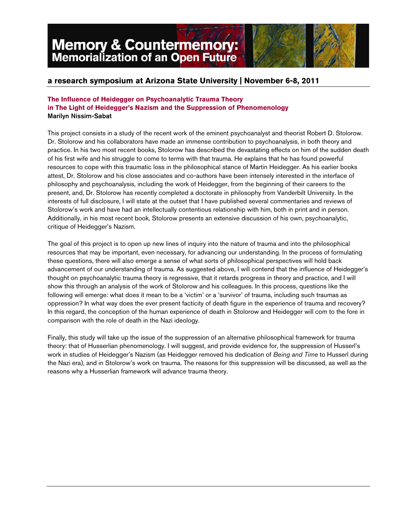**Memory & Countermemory: Memorialization of an Open Future** 

# **a research symposium at Arizona State University | November 6-8, 2011**

### **The Influence of Heidegger on Psychoanalytic Trauma Theory in The Light of Heidegger's Nazism and the Suppression of Phenomenology Marilyn Nissim-Sabat**

This project consists in a study of the recent work of the eminent psychoanalyst and theorist Robert D. Stolorow. Dr. Stolorow and his collaborators have made an immense contribution to psychoanalysis, in both theory and practice. In his two most recent books, Stolorow has described the devastating effects on him of the sudden death of his first wife and his struggle to come to terms with that trauma. He explains that he has found powerful resources to cope with this traumatic loss in the philosophical stance of Martin Heidegger. As his earlier books attest, Dr. Stolorow and his close associates and co-authors have been intensely interested in the interface of philosophy and psychoanalysis, including the work of Heidegger, from the beginning of their careers to the present, and, Dr. Stolorow has recently completed a doctorate in philosophy from Vanderbilt University. In the interests of full disclosure, I will state at the outset that I have published several commentaries and reviews of Stolorow's work and have had an intellectually contentious relationship with him, both in print and in person. Additionally, in his most recent book, Stolorow presents an extensive discussion of his own, psychoanalytic, critique of Heidegger's Nazism.

The goal of this project is to open up new lines of inquiry into the nature of trauma and into the philosophical resources that may be important, even necessary, for advancing our understanding. In the process of formulating these questions, there will also emerge a sense of what sorts of philosophical perspectives will hold back advancement of our understanding of trauma. As suggested above, I will contend that the influence of Heidegger's thought on psychoanalytic trauma theory is regressive, that it retards progress in theory and practice, and I will show this through an analysis of the work of Stolorow and his colleagues. In this process, questions like the following will emerge: what does it mean to be a 'victim' or a 'survivor' of trauma, including such traumas as oppression? In what way does the ever present facticity of death figure in the experience of trauma and recovery? In this regard, the conception of the human experience of death in Stolorow and Heidegger will com to the fore in comparison with the role of death in the Nazi ideology.

Finally, this study will take up the issue of the suppression of an alternative philosophical framework for trauma theory: that of Husserlian phenomenology. I will suggest, and provide evidence for, the suppression of Husserl's work in studies of Heidegger's Nazism (as Heidegger removed his dedication of Being and Time to Husserl during the Nazi era), and in Stolorow's work on trauma. The reasons for this suppression will be discussed, as well as the reasons why a Husserlian framework will advance trauma theory.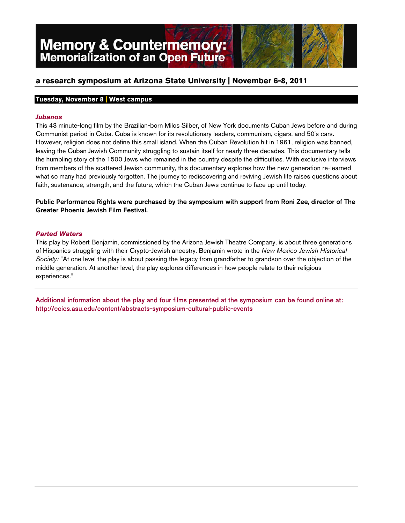

#### **Tuesday, November 8 | West campus**

#### *Jubanos*

This 43 minute-long film by the Brazilian-born Milos Silber, of New York documents Cuban Jews before and during Communist period in Cuba. Cuba is known for its revolutionary leaders, communism, cigars, and 50's cars. However, religion does not define this small island. When the Cuban Revolution hit in 1961, religion was banned, leaving the Cuban Jewish Community struggling to sustain itself for nearly three decades. This documentary tells the humbling story of the 1500 Jews who remained in the country despite the difficulties. With exclusive interviews from members of the scattered Jewish community, this documentary explores how the new generation re-learned what so many had previously forgotten. The journey to rediscovering and reviving Jewish life raises questions about faith, sustenance, strength, and the future, which the Cuban Jews continue to face up until today.

**Public Performance Rights were purchased by the symposium with support from Roni Zee, director of The Greater Phoenix Jewish Film Festival.** 

#### *Parted Waters*

This play by Robert Benjamin, commissioned by the Arizona Jewish Theatre Company, is about three generations of Hispanics struggling with their Crypto-Jewish ancestry. Benjamin wrote in the New Mexico Jewish Historical Society: "At one level the play is about passing the legacy from grandfather to grandson over the objection of the middle generation. At another level, the play explores differences in how people relate to their religious experiences."

Additional information about the play and four films presented at the symposium can be found online at: http://ccics.asu.edu/content/abstracts-symposium-cultural-public-events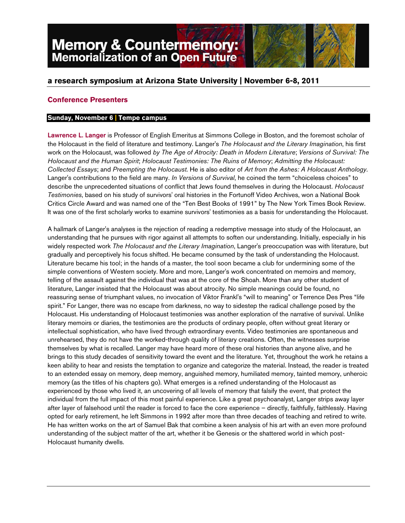

# **Conference Presenters**

### **Sunday, November 6 | Tempe campus**

**Lawrence L. Langer** is Professor of English Emeritus at Simmons College in Boston, and the foremost scholar of the Holocaust in the field of literature and testimony. Langer's The Holocaust and the Literary Imagination, his first work on the Holocaust, was followed by The Age of Atrocity: Death in Modern Literature; Versions of Survival: The Holocaust and the Human Spirit; Holocaust Testimonies: The Ruins of Memory; Admitting the Holocaust: Collected Essays; and Preempting the Holocaust. He is also editor of Art from the Ashes: A Holocaust Anthology. Langer's contributions to the field are many. In Versions of Survival, he coined the term "choiceless choices" to describe the unprecedented situations of conflict that Jews found themselves in during the Holocaust. Holocaust Testimonies, based on his study of survivors' oral histories in the Fortunoff Video Archives, won a National Book Critics Circle Award and was named one of the "Ten Best Books of 1991" by The New York Times Book Review. It was one of the first scholarly works to examine survivors' testimonies as a basis for understanding the Holocaust.

A hallmark of Langer's analyses is the rejection of reading a redemptive message into study of the Holocaust, an understanding that he pursues with rigor against all attempts to soften our understanding. Initially, especially in his widely respected work The Holocaust and the Literary Imagination, Langer's preoccupation was with literature, but gradually and perceptively his focus shifted. He became consumed by the task of understanding the Holocaust. Literature became his tool; in the hands of a master, the tool soon became a club for undermining some of the simple conventions of Western society. More and more, Langer's work concentrated on memoirs and memory, telling of the assault against the individual that was at the core of the Shoah. More than any other student of literature, Langer insisted that the Holocaust was about atrocity. No simple meanings could be found, no reassuring sense of triumphant values, no invocation of Viktor Frankl's "will to meaning" or Terrence Des Pres "life spirit." For Langer, there was no escape from darkness, no way to sidestep the radical challenge posed by the Holocaust. His understanding of Holocaust testimonies was another exploration of the narrative of survival. Unlike literary memoirs or diaries, the testimonies are the products of ordinary people, often without great literary or intellectual sophistication, who have lived through extraordinary events. Video testimonies are spontaneous and unrehearsed, they do not have the worked-through quality of literary creations. Often, the witnesses surprise themselves by what is recalled. Langer may have heard more of these oral histories than anyone alive, and he brings to this study decades of sensitivity toward the event and the literature. Yet, throughout the work he retains a keen ability to hear and resists the temptation to organize and categorize the material. Instead, the reader is treated to an extended essay on memory, deep memory, anguished memory, humiliated memory, tainted memory, unheroic memory (as the titles of his chapters go). What emerges is a refined understanding of the Holocaust as experienced by those who lived it, an uncovering of all levels of memory that falsify the event, that protect the individual from the full impact of this most painful experience. Like a great psychoanalyst, Langer strips away layer after layer of falsehood until the reader is forced to face the core experience – directly, faithfully, faithlessly. Having opted for early retirement, he left Simmons in 1992 after more than three decades of teaching and retired to write. He has written works on the art of Samuel Bak that combine a keen analysis of his art with an even more profound understanding of the subject matter of the art, whether it be Genesis or the shattered world in which post-Holocaust humanity dwells.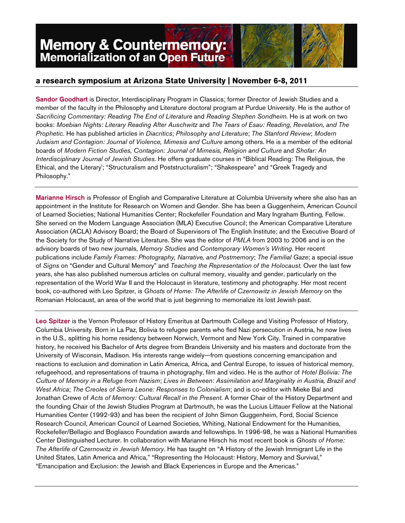

**Sandor Goodhart** is Director, Interdisciplinary Program in Classics; former Director of Jewish Studies and a member of the faculty in the Philosophy and Literature doctoral program at Purdue University. He is the author of Sacrificing Commentary: Reading The End of Literature and Reading Stephen Sondheim. He is at work on two books: Moebian Nights: Literary Reading After Auschwitz and The Tears of Esau: Reading, Revelation, and The Prophetic. He has published articles in Diacritics; Philosophy and Literature; The Stanford Review; Modern Judaism and Contagion: Journal of Violence, Mimesis and Culture among others. He is a member of the editorial boards of Modern Fiction Studies, Contagion: Journal of Mimesis, Religion and Culture and Shofar: An Interdisciplinary Journal of Jewish Studies. He offers graduate courses in "Biblical Reading: The Religious, the Ethical, and the Literary'; "Structuralism and Poststructuralism"; "Shakespeare" and "Greek Tragedy and Philosophy."

**Marianne Hirsch** is Professor of English and Comparative Literature at Columbia University where she also has an appointment in the Institute for Research on Women and Gender. She has been a Guggenheim, American Council of Learned Societies; National Humanities Center; Rockefeller Foundation and Mary Ingraham Bunting, Fellow. She served on the Modern Language Association (MLA) Executive Council; the American Comparative Literature Association (ACLA) Advisory Board; the Board of Supervisors of The English Institute; and the Executive Board of the Society for the Study of Narrative Literature. She was the editor of PMLA from 2003 to 2006 and is on the advisory boards of two new journals, Memory Studies and Contemporary Women's Writing. Her recent publications include Family Frames: Photography, Narrative, and Postmemory; The Familial Gaze; a special issue of Signs on "Gender and Cultural Memory" and Teaching the Representation of the Holocaust. Over the last few years, she has also published numerous articles on cultural memory, visuality and gender, particularly on the representation of the World War II and the Holocaust in literature, testimony and photography. Her most recent book, co-authored with Leo Spitzer, is Ghosts of Home: The Afterlife of Czernowitz in Jewish Memory on the Romanian Holocaust, an area of the world that is just beginning to memorialize its lost Jewish past.

**Leo Spitzer** is the Vernon Professor of History Emeritus at Dartmouth College and Visiting Professor of History, Columbia University. Born in La Paz, Bolivia to refugee parents who fled Nazi persecution in Austria, he now lives in the U.S., splitting his home residency between Norwich, Vermont and New York City. Trained in comparative history, he received his Bachelor of Arts degree from Brandeis University and his masters and doctorate from the University of Wisconsin, Madison. His interests range widely—from questions concerning emancipation and reactions to exclusion and domination in Latin America, Africa, and Central Europe, to issues of historical memory, refugeehood, and representations of trauma in photography, film and video. He is the author of Hotel Bolivia: The Culture of Memory in a Refuge from Nazism; Lives in Between: Assimilation and Marginality in Austria, Brazil and West Africa; The Creoles of Sierra Leone: Responses to Colonialism; and is co-editor with Mieke Bal and Jonathan Crewe of Acts of Memory: Cultural Recall in the Present. A former Chair of the History Department and the founding Chair of the Jewish Studies Program at Dartmouth, he was the Lucius Littauer Fellow at the National Humanities Center (1992-93) and has been the recipient of John Simon Guggenheim, Ford, Social Science Research Council, American Council of Learned Societies, Whiting, National Endowment for the Humanities, Rockefeller/Bellagio and Bogliasco Foundation awards and fellowships. In 1996-98, he was a National Humanities Center Distinguished Lecturer. In collaboration with Marianne Hirsch his most recent book is Ghosts of Home: The Afterlife of Czernowitz in Jewish Memory. He has taught on "A History of the Jewish Immigrant Life in the United States, Latin America and Africa," "Representing the Holocaust: History, Memory and Survival," "Emancipation and Exclusion: the Jewish and Black Experiences in Europe and the Americas."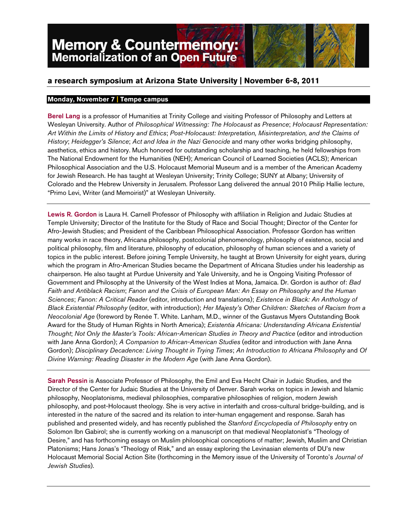

### **Monday, November 7 | Tempe campus**

**Berel Lang** is a professor of Humanities at Trinity College and visiting Professor of Philosophy and Letters at Wesleyan University. Author of Philosophical Witnessing: The Holocaust as Presence; Holocaust Representation: Art Within the Limits of History and Ethics; Post-Holocaust: Interpretation, Misinterpretation, and the Claims of History; Heidegger's Silence; Act and Idea in the Nazi Genocide and many other works bridging philosophy, aesthetics, ethics and history. Much honored for outstanding scholarship and teaching, he held fellowships from The National Endowment for the Humanities (NEH); American Council of Learned Societies (ACLS); American Philosophical Association and the U.S. Holocaust Memorial Museum and is a member of the American Academy for Jewish Research. He has taught at Wesleyan University; Trinity College; SUNY at Albany; University of Colorado and the Hebrew University in Jerusalem. Professor Lang delivered the annual 2010 Philip Hallie lecture, "Primo Levi, Writer (and Memoirist)" at Wesleyan University.

**Lewis R. Gordon** is Laura H. Carnell Professor of Philosophy with affiliation in Religion and Judaic Studies at Temple University; Director of the Institute for the Study of Race and Social Thought; Director of the Center for Afro-Jewish Studies; and President of the Caribbean Philosophical Association. Professor Gordon has written many works in race theory, Africana philosophy, postcolonial phenomenology, philosophy of existence, social and political philosophy, film and literature, philosophy of education, philosophy of human sciences and a variety of topics in the public interest. Before joining Temple University, he taught at Brown University for eight years, during which the program in Afro-American Studies became the Department of Africana Studies under his leadership as chairperson. He also taught at Purdue University and Yale University, and he is Ongoing Visiting Professor of Government and Philosophy at the University of the West Indies at Mona, Jamaica. Dr. Gordon is author of: Bad Faith and Antiblack Racism; Fanon and the Crisis of European Man: An Essay on Philosophy and the Human Sciences; Fanon: A Critical Reader (editor, introduction and translations); Existence in Black: An Anthology of Black Existential Philosophy (editor, with introduction); Her Majesty's Other Children: Sketches of Racism from a Neocolonial Age (foreword by Renée T. White. Lanham, M.D., winner of the Gustavus Myers Outstanding Book Award for the Study of Human Rights in North America); Existentia Africana: Understanding Africana Existential Thought; Not Only the Master's Tools: African-American Studies in Theory and Practice (editor and introduction with Jane Anna Gordon); A Companion to African-American Studies (editor and introduction with Jane Anna Gordon); Disciplinary Decadence: Living Thought in Trying Times; An Introduction to Africana Philosophy and Of Divine Warning: Reading Disaster in the Modern Age (with Jane Anna Gordon).

**Sarah Pessin** is Associate Professor of Philosophy, the Emil and Eva Hecht Chair in Judaic Studies, and the Director of the Center for Judaic Studies at the University of Denver. Sarah works on topics in Jewish and Islamic philosophy, Neoplatonisms, medieval philosophies, comparative philosophies of religion, modern Jewish philosophy, and post-Holocaust theology. She is very active in interfaith and cross-cultural bridge-building, and is interested in the nature of the sacred and its relation to inter-human engagement and response. Sarah has published and presented widely, and has recently published the Stanford Encyclopedia of Philosophy entry on Solomon Ibn Gabirol; she is currently working on a manuscript on that medieval Neoplatonist's "Theology of Desire," and has forthcoming essays on Muslim philosophical conceptions of matter; Jewish, Muslim and Christian Platonisms; Hans Jonas's "Theology of Risk," and an essay exploring the Levinasian elements of DU's new Holocaust Memorial Social Action Site (forthcoming in the Memory issue of the University of Toronto's Journal of Jewish Studies).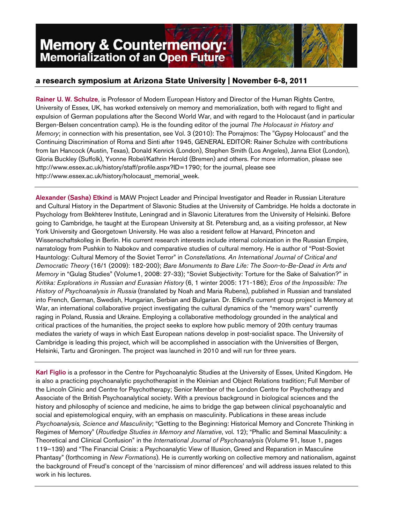

**Rainer U. W. Schulze**, is Professor of Modern European History and Director of the Human Rights Centre, University of Essex, UK, has worked extensively on memory and memorialization, both with regard to flight and expulsion of German populations after the Second World War, and with regard to the Holocaust (and in particular Bergen-Belsen concentration camp). He is the founding editor of the journal The Holocaust in History and Memory; in connection with his presentation, see Vol. 3 (2010): The Porrajmos: The "Gypsy Holocaust" and the Continuing Discrimination of Roma and Sinti after 1945, GENERAL EDITOR: Rainer Schulze with contributions from Ian Hancock (Austin, Texas), Donald Kenrick (London), Stephen Smith (Los Angeles), Janna Eliot (London), Gloria Buckley (Suffolk), Yvonne Robel/Kathrin Herold (Bremen) and others. For more information, please see http://www.essex.ac.uk/history/staff/profile.aspx?ID=1790; for the journal, please see http://www.essex.ac.uk/history/holocaust\_memorial\_week.

**Alexander (Sasha) Etkind** is MAW Project Leader and Principal Investigator and Reader in Russian Literature and Cultural History in the Department of Slavonic Studies at the University of Cambridge. He holds a doctorate in Psychology from Bekhterev Institute, Leningrad and in Slavonic Literatures from the University of Helsinki. Before going to Cambridge, he taught at the European University at St. Petersburg and, as a visiting professor, at New York University and Georgetown University. He was also a resident fellow at Harvard, Princeton and Wissenschaftskolleg in Berlin. His current research interests include internal colonization in the Russian Empire, narratology from Pushkin to Nabokov and comparative studies of cultural memory. He is author of "Post-Soviet Hauntology: Cultural Memory of the Soviet Terror" in Constellations. An International Journal of Critical and Democratic Theory (16/1 (2009): 182-200); Bare Monuments to Bare Life: The Soon-to-Be-Dead in Arts and Memory in "Gulag Studies" (Volume1, 2008: 27-33); "Soviet Subjectivity: Torture for the Sake of Salvation?" in Kritika: Explorations in Russian and Eurasian History (6, 1 winter 2005: 171-186); Eros of the Impossible: The History of Psychoanalysis in Russia (translated by Noah and Maria Rubens), published in Russian and translated into French, German, Swedish, Hungarian, Serbian and Bulgarian. Dr. Etkind's current group project is Memory at War, an international collaborative project investigating the cultural dynamics of the "memory wars" currently raging in Poland, Russia and Ukraine. Employing a collaborative methodology grounded in the analytical and critical practices of the humanities, the project seeks to explore how public memory of 20th century traumas mediates the variety of ways in which East European nations develop in post-socialist space. The University of Cambridge is leading this project, which will be accomplished in association with the Universities of Bergen, Helsinki, Tartu and Groningen. The project was launched in 2010 and will run for three years.

**Karl Figlio** is a professor in the Centre for Psychoanalytic Studies at the University of Essex, United Kingdom. He is also a practicing psychoanalytic psychotherapist in the Kleinian and Object Relations tradition; Full Member of the Lincoln Clinic and Centre for Psychotherapy; Senior Member of the London Centre for Psychotherapy and Associate of the British Psychoanalytical society. With a previous background in biological sciences and the history and philosophy of science and medicine, he aims to bridge the gap between clinical psychoanalytic and social and epistemological enquiry, with an emphasis on masculinity. Publications in these areas include Psychoanalysis, Science and Masculinity; "Getting to the Beginning: Historical Memory and Concrete Thinking in Regimes of Memory" (Routledge Studies in Memory and Narrative, vol. 12); "Phallic and Seminal Masculinity: a Theoretical and Clinical Confusion" in the International Journal of Psychoanalysis (Volume 91, Issue 1, pages 119–139) and "The Financial Crisis: a Psychoanalytic View of Illusion, Greed and Reparation in Masculine Phantasy" (forthcoming in New Formations). He is currently working on collective memory and nationalism, against the background of Freud's concept of the 'narcissism of minor differences' and will address issues related to this work in his lectures.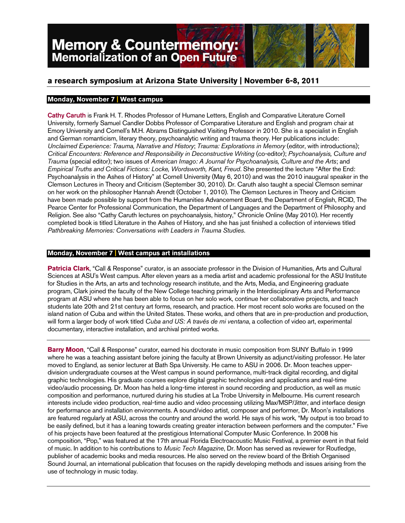

### **Monday, November 7 | West campus**

**Cathy Caruth** is Frank H. T. Rhodes Professor of Humane Letters, English and Comparative Literature Cornell University, formerly Samuel Candler Dobbs Professor of Comparative Literature and English and program chair at Emory University and Cornell's M.H. Abrams Distinguished Visiting Professor in 2010. She is a specialist in English and German romanticism, literary theory, psychoanalytic writing and trauma theory. Her publications include: Unclaimed Experience: Trauma, Narrative and History; Trauma: Explorations in Memory (editor, with introductions); Critical Encounters: Reference and Responsibility in Deconstructive Writing (co-editor); Psychoanalysis, Culture and Trauma (special editor); two issues of American Imago: A Journal for Psychoanalysis, Culture and the Arts; and Empirical Truths and Critical Fictions: Locke, Wordsworth, Kant, Freud. She presented the lecture "After the End: Psychoanalysis in the Ashes of History" at Cornell University (May 6, 2010) and was the 2010 inaugural speaker in the Clemson Lectures in Theory and Criticism (September 30, 2010). Dr. Caruth also taught a special Clemson seminar on her work on the philosopher Hannah Arendt (October 1, 2010). The Clemson Lectures in Theory and Criticism have been made possible by support from the Humanities Advancement Board, the Department of English, RCID, The Pearce Center for Professional Communication, the Department of Languages and the Department of Philosophy and Religion. See also "Cathy Caruth lectures on psychoanalysis, history," Chronicle Online (May 2010). Her recently completed book is titled Literature in the Ashes of History, and she has just finished a collection of interviews titled Pathbreaking Memories: Conversations with Leaders in Trauma Studies.

### **Monday, November 7 | West campus art installations**

**Patricia Clark**, "Call & Response" curator, is an associate professor in the Division of Humanities, Arts and Cultural Sciences at ASU's West campus. After eleven years as a media artist and academic professional for the ASU Institute for Studies in the Arts, an arts and technology research institute, and the Arts, Media, and Engineering graduate program, Clark joined the faculty of the New College teaching primarily in the Interdisciplinary Arts and Performance program at ASU where she has been able to focus on her solo work, continue her collaborative projects, and teach students late 20th and 21st century art forms, research, and practice. Her most recent solo works are focused on the island nation of Cuba and within the United States. These works, and others that are in pre-production and production, will form a larger body of work titled Cuba and US: A través de mi ventana, a collection of video art, experimental documentary, interactive installation, and archival printed works.

**Barry Moon**, "Call & Response" curator, earned his doctorate in music composition from SUNY Buffalo in 1999 where he was a teaching assistant before joining the faculty at Brown University as adjunct/visiting professor. He later moved to England, as senior lecturer at Bath Spa University. He came to ASU in 2006. Dr. Moon teaches upperdivision undergraduate courses at the West campus in sound performance, multi-track digital recording, and digital graphic technologies. His graduate courses explore digital graphic technologies and applications and real-time video/audio processing. Dr. Moon has held a long-time interest in sound recording and production, as well as music composition and performance, nurtured during his studies at La Trobe University in Melbourne. His current research interests include video production, real-time audio and video processing utilizing Max/MSP/Jitter, and interface design for performance and installation environments. A sound/video artist, composer and performer, Dr. Moon's installations are featured regularly at ASU, across the country and around the world. He says of his work, "My output is too broad to be easily defined, but it has a leaning towards creating greater interaction between performers and the computer." Five of his projects have been featured at the prestigious International Computer Music Conference. In 2008 his composition, "Pop," was featured at the 17th annual Florida Electroacoustic Music Festival, a premier event in that field of music. In addition to his contributions to Music Tech Magazine, Dr. Moon has served as reviewer for Routledge, publisher of academic books and media resources. He also served on the review board of the British Organised Sound Journal, an international publication that focuses on the rapidly developing methods and issues arising from the use of technology in music today.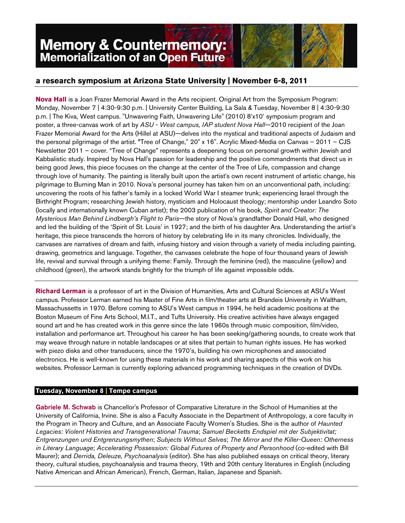

**Nova Hall** is a Joan Frazer Memorial Award in the Arts recipient. Original Art from the Symposium Program: Monday, November 7 | 4:30-9:30 p.m. | University Center Building, La Sala & Tuesday, November 8 | 4:30-9:30 p.m. | The Kiva, West campus. "Unwavering Faith, Unwavering Life" (2010) 8'x10' symposium program and poster, a three-canvas work of art by ASU - West campus, IAP student Nova Hall—2010 recipient of the Joan Frazer Memorial Award for the Arts (Hillel at ASU)—delves into the mystical and traditional aspects of Judaism and the personal pilgrimage of the artist. "Tree of Change," 20" x 16". Acrylic Mixed-Media on Canvas – 2011 – CJS Newsletter 2011 – cover. "Tree of Change" represents a deepening focus on personal growth within Jewish and Kabbalistic study. Inspired by Nova Hall's passion for leadership and the positive commandments that direct us in being good Jews, this piece focuses on the change at the center of the Tree of Life, compassion and change through love of humanity. The painting is literally built upon the artist's own recent instrument of artistic change, his pilgrimage to Burning Man in 2010. Nova's personal journey has taken him on an unconventional path, including: uncovering the roots of his father's family in a locked World War I steamer trunk; experiencing Israel through the Birthright Program; researching Jewish history, mysticism and Holocaust theology; mentorship under Leandro Soto (locally and internationally known Cuban artist); the 2003 publication of his book, Spirit and Creator: The Mysterious Man Behind Lindbergh's Flight to Paris—the story of Nova's grandfather Donald Hall, who designed and led the building of the 'Spirit of St. Louis' in 1927; and the birth of his daughter Ara. Understanding the artist's heritage, this piece transcends the horrors of history by celebrating life in its many chronicles. Individually, the canvases are narratives of dream and faith, infusing history and vision through a variety of media including painting, drawing, geometrics and language. Together, the canvases celebrate the hope of four thousand years of Jewish life, revival and survival through a unifying theme: Family. Through the feminine (red), the masculine (yellow) and childhood (green), the artwork stands brightly for the triumph of life against impossible odds.

**Richard Lerman** is a professor of art in the Division of Humanities, Arts and Cultural Sciences at ASU's West campus. Professor Lerman earned his Master of Fine Arts in film/theater arts at Brandeis University in Waltham, Massachussetts in 1970. Before coming to ASU's West campus in 1994, he held academic positions at the Boston Museum of Fine Arts School, M.I.T., and Tufts University. His creative activities have always engaged sound art and he has created work in this genre since the late 1960s through music composition, film/video, installation and performance art. Throughout his career he has been seeking/gathering sounds, to create work that may weave through nature in notable landscapes or at sites that pertain to human rights issues. He has worked with piezo disks and other transducers, since the 1970's, building his own microphones and associated electronics. He is well-known for using these materials in his work and sharing aspects of this work on his websites. Professor Lerman is currently exploring advanced programming techniques in the creation of DVDs.

#### **Tuesday, November 8 | Tempe campus**

**Gabriele M. Schwab** is Chancellor's Professor of Comparative Literature in the School of Humanities at the University of California, Irvine. She is also a Faculty Associate in the Department of Anthropology, a core faculty in the Program in Theory and Culture, and an Associate Faculty Women's Studies. She is the author of Haunted Legacies: Violent Histories and Transgenerational Trauma; Samuel Becketts Endspiel mit der Subjektivitat; Entgrenzungen und Entgrenzungsmythen; Subjects Without Selves; The Mirror and the Killer-Queen: Otherness in Literary Language; Accelerating Possession: Global Futures of Property and Personhood (co-edited with Bill Maurer); and Derrida, Deleuze, Psychoanalysis (editor). She has also published essays on critical theory, literary theory, cultural studies, psychoanalysis and trauma theory, 19th and 20th century literatures in English (including Native American and African American), French, German, Italian, Japanese and Spanish.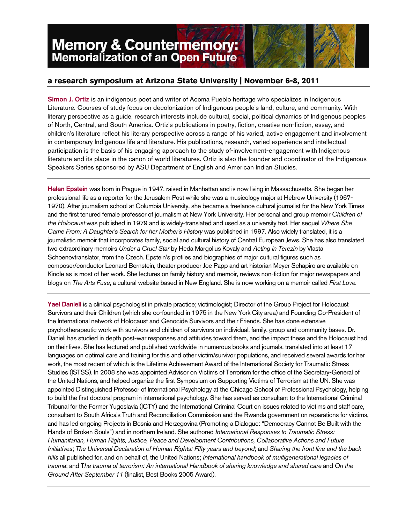**Simon J. Ortiz** is an indigenous poet and writer of Acoma Pueblo heritage who specializes in Indigenous Literature. Courses of study focus on decolonization of Indigenous people's land, culture, and community. With literary perspective as a guide, research interests include cultural, social, political dynamics of Indigenous peoples of North, Central, and South America. Ortiz's publications in poetry, fiction, creative non-fiction, essay, and children's literature reflect his literary perspective across a range of his varied, active engagement and involvement in contemporary Indigenous life and literature. His publications, research, varied experience and intellectual participation is the basis of his engaging approach to the study of-involvement-engagement with Indigenous literature and its place in the canon of world literatures. Ortiz is also the founder and coordinator of the Indigenous Speakers Series sponsored by ASU Department of English and American Indian Studies.

**Helen Epstein** was born in Prague in 1947, raised in Manhattan and is now living in Massachusetts. She began her professional life as a reporter for the Jerusalem Post while she was a musicology major at Hebrew University (1967- 1970). After journalism school at Columbia University, she became a freelance cultural journalist for the New York Times and the first tenured female professor of journalism at New York University. Her personal and group memoir Children of the Holocaust was published in 1979 and is widely-translated and used as a university text. Her sequel Where She Came From: A Daughter's Search for her Mother's History was published in 1997. Also widely translated, it is a journalistic memoir that incorporates family, social and cultural history of Central European Jews. She has also translated two extraordinary memoirs Under a Cruel Star by Heda Margolius Kovaly and Acting in Terezin by Vlasta Schoenovtranslator, from the Czech. Epstein's profiles and biographies of major cultural figures such as composer/conductor Leonard Bernstein, theater producer Joe Papp and art historian Meyer Schapiro are available on Kindle as is most of her work. She lectures on family history and memoir, reviews non-fiction for major newspapers and blogs on The Arts Fuse, a cultural website based in New England. She is now working on a memoir called First Love.

**Yael Danieli** is a clinical psychologist in private practice; victimologist; Director of the Group Project for Holocaust Survivors and their Children (which she co-founded in 1975 in the New York City area) and Founding Co-President of the International network of Holocaust and Genocide Survivors and their Friends. She has done extensive psychotherapeutic work with survivors and children of survivors on individual, family, group and community bases. Dr. Danieli has studied in depth post-war responses and attitudes toward them, and the impact these and the Holocaust had on their lives. She has lectured and published worldwide in numerous books and journals, translated into at least 17 languages on optimal care and training for this and other victim/survivor populations, and received several awards for her work, the most recent of which is the Lifetime Achievement Award of the International Society for Traumatic Stress Studies (ISTSS). In 2008 she was appointed Advisor on Victims of Terrorism for the office of the Secretary-General of the United Nations, and helped organize the first Symposium on Supporting Victims of Terrorism at the UN. She was appointed Distinguished Professor of International Psychology at the Chicago School of Professional Psychology, helping to build the first doctoral program in international psychology. She has served as consultant to the International Criminal Tribunal for the Former Yugoslavia (ICTY) and the International Criminal Court on issues related to victims and staff care, consultant to South Africa's Truth and Reconciliation Commission and the Rwanda government on reparations for victims, and has led ongoing Projects in Bosnia and Herzegovina (Promoting a Dialogue: "Democracy Cannot Be Built with the Hands of Broken Souls") and in northern Ireland. She authored International Responses to Traumatic Stress: Humanitarian, Human Rights, Justice, Peace and Development Contributions, Collaborative Actions and Future Initiatives; The Universal Declaration of Human Rights: Fifty years and beyond; and Sharing the front line and the back hills all published for, and on behalf of, the United Nations; International handbook of multigenerational legacies of trauma; and The trauma of terrorism: An international Handbook of sharing knowledge and shared care and On the Ground After September 11 (finalist, Best Books 2005 Award).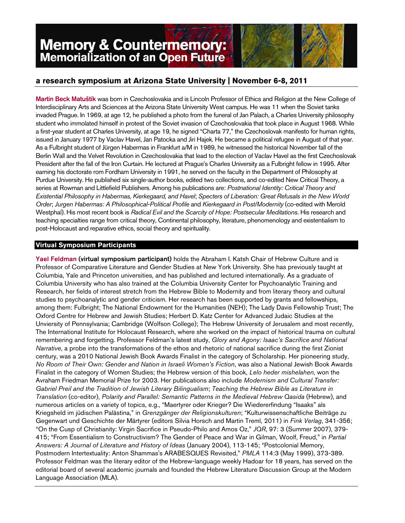

**Martin Beck Matuštík** was born in Czechoslovakia and is Lincoln Professor of Ethics and Religion at the New College of Interdisciplinary Arts and Sciences at the Arizona State University West campus. He was 11 when the Soviet tanks invaded Prague. In 1969, at age 12, he published a photo from the funeral of Jan Palach, a Charles University philosophy student who immolated himself in protest of the Soviet invasion of Czechoslovakia that took place in August 1968. While a first-year student at Charles University, at age 19, he signed "Charta 77," the Czechoslovak manifesto for human rights, issued in January 1977 by Vaclav Havel, Jan Patocka and Jiri Hajek. He became a political refugee in August of that year. As a Fulbright student of Jürgen Habermas in Frankfurt a/M in 1989, he witnessed the historical November fall of the Berlin Wall and the Velvet Revolution in Czechoslovakia that lead to the election of Vaclav Havel as the first Czechoslovak President after the fall of the Iron Curtain. He lectured at Prague's Charles University as a Fulbright fellow in 1995. After earning his doctorate rom Fordham University in 1991, he served on the faculty in the Department of Philosophy at Purdue University. He published six single-author books, edited two collections, and co-edited New Critical Theory, a series at Rowman and Littlefield Publishers. Among his publications are: Postnational Identity: Critical Theory and Existential Philosophy in Habermas, Kierkegaard, and Havel; Specters of Liberation: Great Refusals in the New World Order; Jurgen Habermas: A Philosophical-Political Profile and Kierkegaard in Post/Modernity (co-edited with Merold Westphal). His most recent book is Radical Evil and the Scarcity of Hope: Postsecular Meditations. His research and teaching specialties range from critical theory, Continental philosophy, literature, phenomenology and existentialism to post-Holocaust and reparative ethics, social theory and spirituality.

#### **Virtual Symposium Participants**

**Yael Feldman (virtual symposium participant)** holds the Abraham I. Katsh Chair of Hebrew Culture and is Professor of Comparative Literature and Gender Studies at New York University. She has previously taught at Columbia, Yale and Princeton universities, and has published and lectured internationally. As a graduate of Columbia University who has also trained at the Columbia University Center for Psychoanalytic Training and Research, her fields of interest stretch from the Hebrew Bible to Modernity and from literary theory and cultural studies to psychoanalytic and gender criticism. Her research has been supported by grants and fellowships, among them: Fulbright; The National Endowment for the Humanities (NEH); The Lady Davis Fellowship Trust; The Oxford Centre for Hebrew and Jewish Studies; Herbert D. Katz Center for Advanced Judaic Studies at the Unviersity of Pennsylvania; Cambridge (Wolfson College); The Hebrew University of Jerusalem and most recently, The International Institute for Holocaust Research, where she worked on the impact of historical trauma on cultural remembering and forgetting. Professor Feldman's latest study, Glory and Agony: Isaac's Sacrifice and National Narrative, a probe into the transformations of the ethos and rhetoric of national sacrifice during the first Zionist century, was a 2010 National Jewish Book Awards Finalist in the category of Scholarship. Her pioneering study, No Room of Their Own: Gender and Nation in Israeli Women's Fiction, was also a National Jewish Book Awards Finalist in the category of Women Studies; the Hebrew version of this book, Lelo heder mishelahen, won the Avraham Friedman Memorial Prize for 2003. Her publications also include Modernism and Cultural Transfer: Gabriel Preil and the Tradition of Jewish Literary Bilingualism; Teaching the Hebrew Bible as Literature in Translation (co-editor), Polarity and Parallel: Semantic Patterns in the Medieval Hebrew Qasida (Hebrew), and numerous articles on a variety of topics, e.g., "Maertyrer oder Krieger? Die Wiedererfindung "Isaaks" als Kriegsheld im jüdischen Palästina," in Grenzgänger der Religionskulturen; "Kulturwissenschaftliche Beiträge zu Gegenwart und Geschichte der Märtyrer (editors Silvia Horsch and Martin Treml, 2011) in Fink Verlag, 341-356; "On the Cusp of Christianity: Virgin Sacrifice in Pseudo-Philo and Amos Oz," JQR, 97: 3 (Summer 2007), 379- 415; "From Essentialism to Constructivism? The Gender of Peace and War in Gilman, Woolf, Freud," in Partial Answers: A Journal of Literature and History of Ideas (January 2004), 113-145; "Postcolonial Memory, Postmodern Intertextuality: Anton Shammas's ARABESQUES Revisited," PMLA 114:3 (May 1999), 373-389. Professor Feldman was the literary editor of the Hebrew-language weekly Hadoar for 18 years, has served on the editorial board of several academic journals and founded the Hebrew Literature Discussion Group at the Modern Language Association (MLA).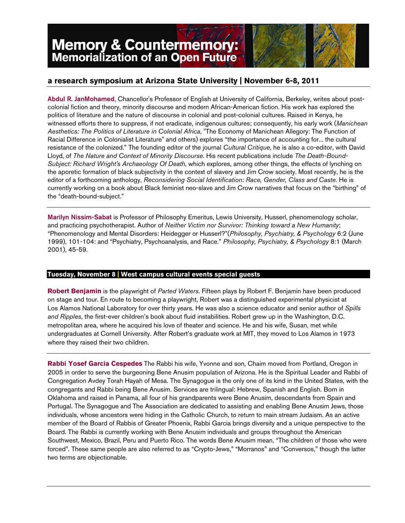**Abdul R. JanMohamed**, Chancellor's Professor of English at University of California, Berkeley, writes about postcolonial fiction and theory, minority discourse and modern African-American fiction. His work has explored the politics of literature and the nature of discourse in colonial and post-colonial cultures. Raised in Kenya, he witnessed efforts there to suppress, if not eradicate, indigenous cultures; consequently, his early work (Manichean Aesthetics: The Politics of Literature in Colonial Africa, "The Economy of Manichean Allegory: The Function of Racial Difference in Colonialist Literature" and others) explores "the importance of accounting for... the cultural resistance of the colonized." The founding editor of the journal Cultural Critique, he is also a co-editor, with David Lloyd, of The Nature and Context of Minority Discourse. His recent publications include The Death-Bound-Subject: Richard Wright's Archaeology Of Death, which explores, among other things, the effects of lynching on the aporetic formation of black subjectivity in the context of slavery and Jim Crow society. Most recently, he is the editor of a forthcoming anthology, Reconsidering Social Identification: Race, Gender, Class and Caste. He is currently working on a book about Black feminist neo-slave and Jim Crow narratives that focus on the "birthing" of the "death-bound-subject."

**Marilyn Nissim-Sabat** is Professor of Philosophy Emeritus, Lewis University, Husserl, phenomenology scholar, and practicing psychotherapist. Author of Neither Victim nor Survivor: Thinking toward a New Humanity; "Phenomenology and Mental Disorders: Heidegger or Husserl?"(Philosophy, Psychiatry, & Psychology 6:2 (June 1999), 101-104: and "Psychiatry, Psychoanalysis, and Race." Philosophy, Psychiatry, & Psychology 8:1 (March 2001), 45-59.

### **Tuesday, November 8 | West campus cultural events special guests**

**Robert Benjamin** is the playwright of Parted Waters. Fifteen plays by Robert F. Benjamin have been produced on stage and tour. En route to becoming a playwright, Robert was a distinguished experimental physicist at Los Alamos National Laboratory for over thirty years. He was also a science educator and senior author of Spills and Ripples, the first-ever children's book about fluid instabilities. Robert grew up in the Washington, D.C. metropolitan area, where he acquired his love of theater and science. He and his wife, Susan, met while undergraduates at Cornell University. After Robert's graduate work at MIT, they moved to Los Alamos in 1973 where they raised their two children.

**Rabbi Yosef Garcia Cespedes** The Rabbi his wife, Yvonne and son, Chaim moved from Portland, Oregon in 2005 in order to serve the burgeoning Bene Anusim population of Arizona. He is the Spiritual Leader and Rabbi of Congregation Avdey Torah Hayah of Mesa. The Synagogue is the only one of its kind in the United States, with the congregants and Rabbi being Bene Anusim. Services are trilingual: Hebrew, Spanish and English. Born in Oklahoma and raised in Panama, all four of his grandparents were Bene Anusim, descendants from Spain and Portugal. The Synagogue and The Association are dedicated to assisting and enabling Bene Anusim Jews, those individuals, whose ancestors were hiding in the Catholic Church, to return to main stream Judaism. As an active member of the Board of Rabbis of Greater Phoenix, Rabbi Garcia brings diversity and a unique perspective to the Board. The Rabbi is currently working with Bene Anusim individuals and groups throughout the American Southwest, Mexico, Brazil, Peru and Puerto Rico. The words Bene Anusim mean, "The children of those who were forced". These same people are also referred to as "Crypto-Jews," "Morranos" and "Conversos," though the latter two terms are objectionable.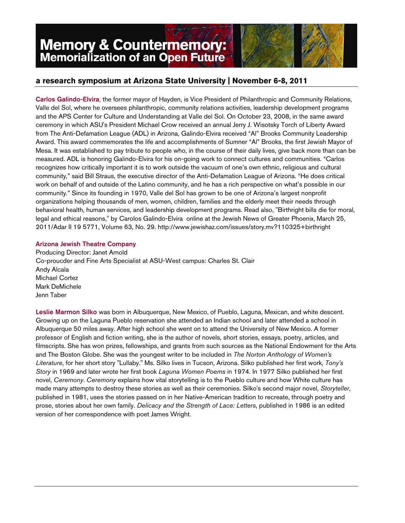

**Carlos Galindo-Elvira**, the former mayor of Hayden, is Vice President of Philanthropic and Community Relations, Valle del Sol, where he oversees philanthropic, community relations activities, leadership development programs and the APS Center for Culture and Understanding at Valle del Sol. On October 23, 2008, in the same award ceremony in which ASU's President Michael Crow received an annual Jerry J. Wisotsky Torch of Liberty Award from The Anti-Defamation League (ADL) in Arizona, Galindo-Elvira received "Al" Brooks Community Leadership Award. This award commemorates the life and accomplishments of Sumner "Al" Brooks, the first Jewish Mayor of Mesa. It was established to pay tribute to people who, in the course of their daily lives, give back more than can be measured. ADL is honoring Galindo-Elvira for his on-going work to connect cultures and communities. "Carlos recognizes how critically important it is to work outside the vacuum of one's own ethnic, religious and cultural community," said Bill Straus, the executive director of the Anti-Defamation League of Arizona. "He does critical work on behalf of and outside of the Latino community, and he has a rich perspective on what's possible in our community." Since its founding in 1970, Valle del Sol has grown to be one of Arizona's largest nonprofit organizations helping thousands of men, women, children, families and the elderly meet their needs through behavioral health, human services, and leadership development programs. Read also, "Birthright bills die for moral, legal and ethical reasons," by Carolos Galindo-Elvira online at the Jewish News of Greater Phoenix, March 25, 2011/Adar II 19 5771, Volume 63, No. 29. http://www.jewishaz.com/issues/story.mv?110325+birthright

#### **Arizona Jewish Theatre Company**

Producing Director: Janet Arnold Co-proucder and Fine Arts Specialist at ASU-West campus: Charles St. Clair Andy Alcala Michael Cortez Mark DeMichele Jenn Taber

**Leslie Marmon Silko** was born in Albuquerque, New Mexico, of Pueblo, Laguna, Mexican, and white descent. Growing up on the Laguna Pueblo reservation she attended an Indian school and later attended a school in Albuquerque 50 miles away. After high school she went on to attend the University of New Mexico. A former professor of English and fiction writing, she is the author of novels, short stories, essays, poetry, articles, and filmscripts. She has won prizes, fellowships, and grants from such sources as the National Endowment for the Arts and The Boston Globe. She was the youngest writer to be included in The Norton Anthology of Women's Literature, for her short story "Lullaby." Ms. Silko lives in Tucson, Arizona. Silko published her first work, Tony's Story in 1969 and later wrote her first book Laguna Women Poems in 1974. In 1977 Silko published her first novel, Ceremony. Ceremony explains how vital storytelling is to the Pueblo culture and how White culture has made many attempts to destroy these stories as well as their ceremonies. Silko's second major novel, Storyteller, published in 1981, uses the stories passed on in her Native-American tradition to recreate, through poetry and prose, stories about her own family. Delicacy and the Strength of Lace: Letters, published in 1986 is an edited version of her correspondence with poet James Wright.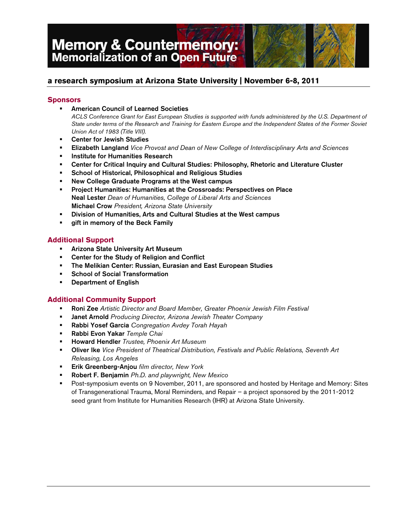**Memory & Countermemory:**<br>Memorialization of an Open Future



# **a research symposium at Arizona State University | November 6-8, 2011**

### **Sponsors**

- **American Council of Learned Societies** ACLS Conference Grant for East European Studies is supported with funds administered by the U.S. Department of State under terms of the Research and Training for Eastern Europe and the Independent States of the Former Soviet Union Act of 1983 (Title VIII).
- **Center for Jewish Studies**
- **Elizabeth Langland** Vice Provost and Dean of New College of Interdisciplinary Arts and Sciences
- **Institute for Humanities Research**
- **Center for Critical Inquiry and Cultural Studies: Philosophy, Rhetoric and Literature Cluster**
- **School of Historical, Philosophical and Religious Studies**
- **New College Graduate Programs at the West campus**
- **Project Humanities: Humanities at the Crossroads: Perspectives on Place Neal Lester** Dean of Humanities, College of Liberal Arts and Sciences **Michael Crow** President, Arizona State University
- **Division of Humanities, Arts and Cultural Studies at the West campus**
- **gift in memory of the Beck Family**

# **Additional Support**

- **Arizona State University Art Museum**
- **Center for the Study of Religion and Conflict**
- **The Melikian Center: Russian, Eurasian and East European Studies**
- **School of Social Transformation**
- **Department of English**

# **Additional Community Support**

- **Roni Zee** Artistic Director and Board Member, Greater Phoenix Jewish Film Festival
- **Janet Arnold** Producing Director, Arizona Jewish Theater Company
- **Rabbi Yosef Garcia** Congregation Avdey Torah Hayah
- **Rabbi Evon Yakar** Temple Chai
- **Howard Hendler** Trustee, Phoenix Art Museum
- **Dliver Ike** Vice President of Theatrical Distribution, Festivals and Public Relations, Seventh Art Releasing, Los Angeles
- **Erik Greenberg-Anjou** film director, New York
- **Robert F. Benjamin** Ph.D. and playwright, New Mexico
- Post-symposium events on 9 November, 2011, are sponsored and hosted by Heritage and Memory: Sites of Transgenerational Trauma, Moral Reminders, and Repair – a project sponsored by the 2011-2012 seed grant from Institute for Humanities Research (IHR) at Arizona State University.